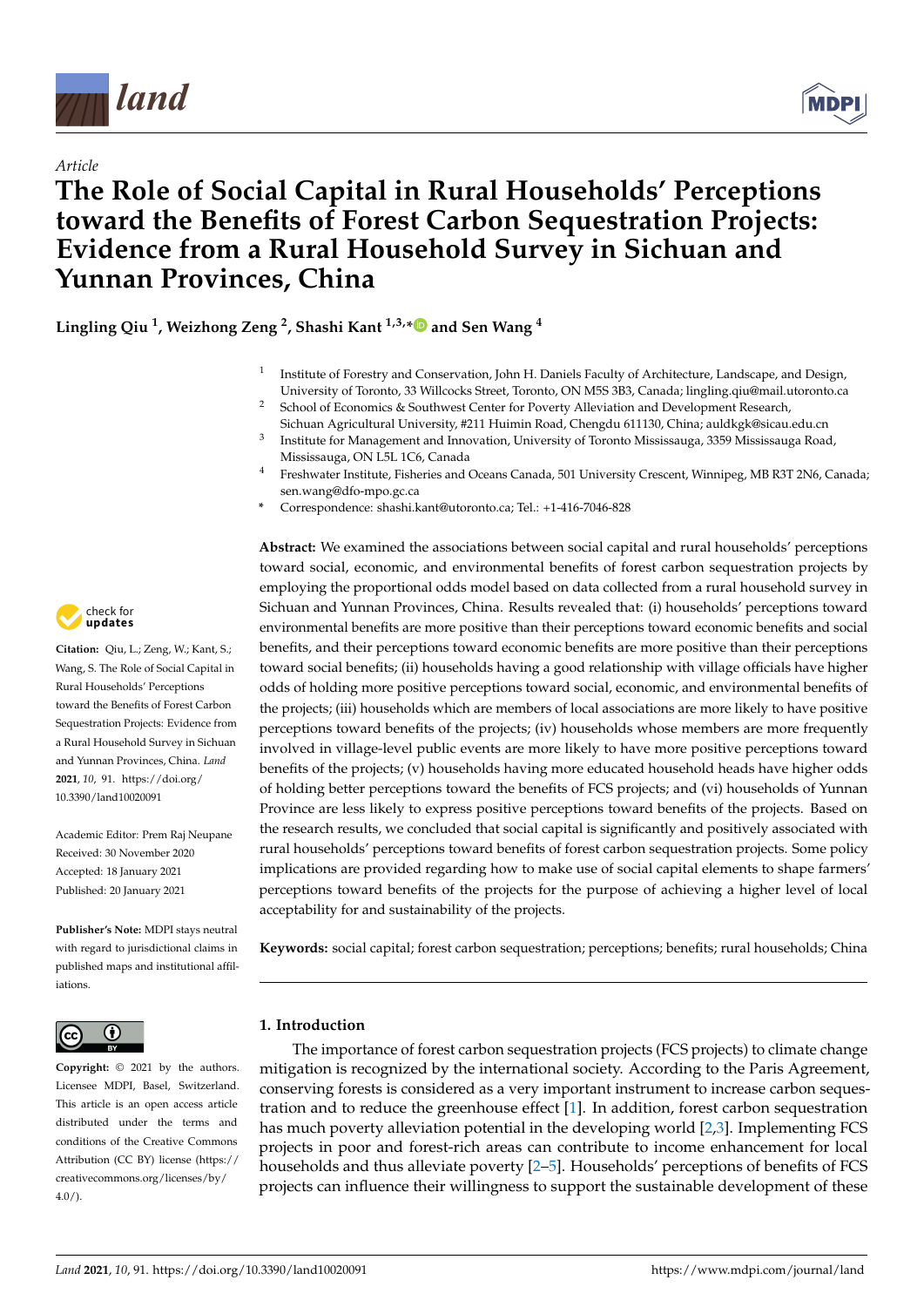

*Article*



# **The Role of Social Capital in Rural Households' Perceptions toward the Benefits of Forest Carbon Sequestration Projects: Evidence from a Rural Household Survey in Sichuan and Yunnan Provinces, China**

**Lingling Qiu <sup>1</sup> , Weizhong Zeng <sup>2</sup> , Shashi Kant 1,3,[\\*](https://orcid.org/0000-0001-7012-4306) and Sen Wang <sup>4</sup>**

- 1 Institute of Forestry and Conservation, John H. Daniels Faculty of Architecture, Landscape, and Design, University of Toronto, 33 Willcocks Street, Toronto, ON M5S 3B3, Canada; lingling.qiu@mail.utoronto.ca
- <sup>2</sup> School of Economics & Southwest Center for Poverty Alleviation and Development Research, Sichuan Agricultural University, #211 Huimin Road, Chengdu 611130, China; auldkgk@sicau.edu.cn
- 3 Institute for Management and Innovation, University of Toronto Mississauga, 3359 Mississauga Road, Mississauga, ON L5L 1C6, Canada
- <sup>4</sup> Freshwater Institute, Fisheries and Oceans Canada, 501 University Crescent, Winnipeg, MB R3T 2N6, Canada; sen.wang@dfo-mpo.gc.ca
- **\*** Correspondence: shashi.kant@utoronto.ca; Tel.: +1-416-7046-828

**Abstract:** We examined the associations between social capital and rural households' perceptions toward social, economic, and environmental benefits of forest carbon sequestration projects by employing the proportional odds model based on data collected from a rural household survey in Sichuan and Yunnan Provinces, China. Results revealed that: (i) households' perceptions toward environmental benefits are more positive than their perceptions toward economic benefits and social benefits, and their perceptions toward economic benefits are more positive than their perceptions toward social benefits; (ii) households having a good relationship with village officials have higher odds of holding more positive perceptions toward social, economic, and environmental benefits of the projects; (iii) households which are members of local associations are more likely to have positive perceptions toward benefits of the projects; (iv) households whose members are more frequently involved in village-level public events are more likely to have more positive perceptions toward benefits of the projects; (v) households having more educated household heads have higher odds of holding better perceptions toward the benefits of FCS projects; and (vi) households of Yunnan Province are less likely to express positive perceptions toward benefits of the projects. Based on the research results, we concluded that social capital is significantly and positively associated with rural households' perceptions toward benefits of forest carbon sequestration projects. Some policy implications are provided regarding how to make use of social capital elements to shape farmers' perceptions toward benefits of the projects for the purpose of achieving a higher level of local acceptability for and sustainability of the projects.

**Keywords:** social capital; forest carbon sequestration; perceptions; benefits; rural households; China

# **1. Introduction**

The importance of forest carbon sequestration projects (FCS projects) to climate change mitigation is recognized by the international society. According to the Paris Agreement, conserving forests is considered as a very important instrument to increase carbon sequestration and to reduce the greenhouse effect [\[1\]](#page-13-0). In addition, forest carbon sequestration has much poverty alleviation potential in the developing world [\[2,](#page-13-1)[3\]](#page-13-2). Implementing FCS projects in poor and forest-rich areas can contribute to income enhancement for local households and thus alleviate poverty [\[2–](#page-13-1)[5\]](#page-13-3). Households' perceptions of benefits of FCS projects can influence their willingness to support the sustainable development of these



**Citation:** Qiu, L.; Zeng, W.; Kant, S.; Wang, S. The Role of Social Capital in Rural Households' Perceptions toward the Benefits of Forest Carbon Sequestration Projects: Evidence from a Rural Household Survey in Sichuan and Yunnan Provinces, China. *Land* **2021**, *10*, 91. [https://doi.org/](https://doi.org/10.3390/land10020091) [10.3390/land10020091](https://doi.org/10.3390/land10020091)

Academic Editor: Prem Raj Neupane Received: 30 November 2020 Accepted: 18 January 2021 Published: 20 January 2021

**Publisher's Note:** MDPI stays neutral with regard to jurisdictional claims in published maps and institutional affiliations.



**Copyright:** © 2021 by the authors. Licensee MDPI, Basel, Switzerland. This article is an open access article distributed under the terms and conditions of the Creative Commons Attribution (CC BY) license (https:/[/](https://creativecommons.org/licenses/by/4.0/) [creativecommons.org/licenses/by/](https://creativecommons.org/licenses/by/4.0/)  $4.0/$ ).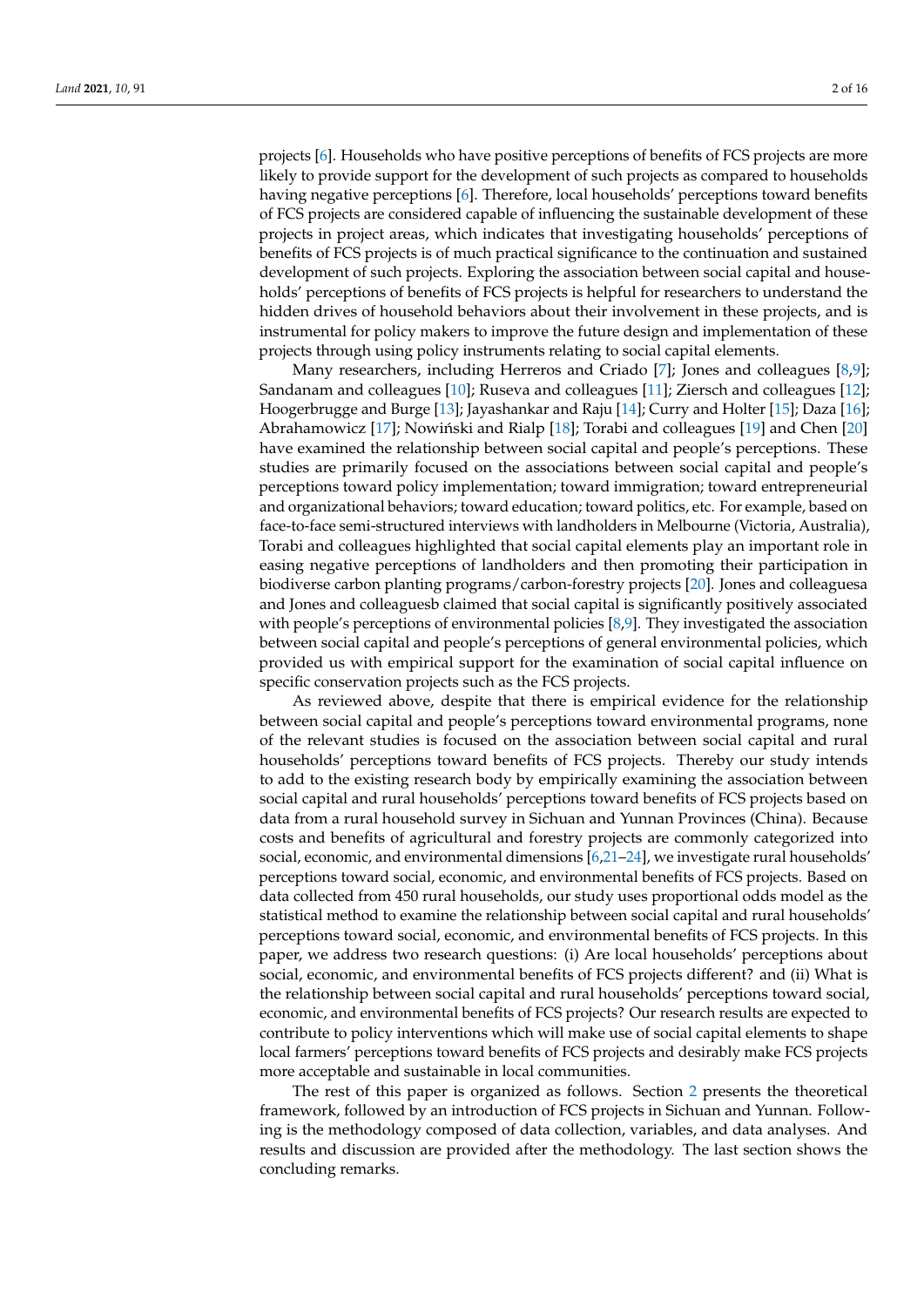projects [\[6\]](#page-13-4). Households who have positive perceptions of benefits of FCS projects are more likely to provide support for the development of such projects as compared to households having negative perceptions [\[6\]](#page-13-4). Therefore, local households' perceptions toward benefits of FCS projects are considered capable of influencing the sustainable development of these projects in project areas, which indicates that investigating households' perceptions of benefits of FCS projects is of much practical significance to the continuation and sustained development of such projects. Exploring the association between social capital and households' perceptions of benefits of FCS projects is helpful for researchers to understand the hidden drives of household behaviors about their involvement in these projects, and is instrumental for policy makers to improve the future design and implementation of these projects through using policy instruments relating to social capital elements.

Many researchers, including Herreros and Criado [\[7\]](#page-13-5); Jones and colleagues [\[8,](#page-14-0)[9\]](#page-14-1); Sandanam and colleagues [\[10\]](#page-14-2); Ruseva and colleagues [\[11\]](#page-14-3); Ziersch and colleagues [\[12\]](#page-14-4); Hoogerbrugge and Burge [\[13\]](#page-14-5); Jayashankar and Raju [\[14\]](#page-14-6); Curry and Holter [\[15\]](#page-14-7); Daza [\[16\]](#page-14-8); Abrahamowicz  $[17]$ ; Nowiński and Rialp  $[18]$ ; Torabi and colleagues  $[19]$  and Chen  $[20]$ have examined the relationship between social capital and people's perceptions. These studies are primarily focused on the associations between social capital and people's perceptions toward policy implementation; toward immigration; toward entrepreneurial and organizational behaviors; toward education; toward politics, etc. For example, based on face-to-face semi-structured interviews with landholders in Melbourne (Victoria, Australia), Torabi and colleagues highlighted that social capital elements play an important role in easing negative perceptions of landholders and then promoting their participation in biodiverse carbon planting programs/carbon-forestry projects [\[20\]](#page-14-12). Jones and colleaguesa and Jones and colleaguesb claimed that social capital is significantly positively associated with people's perceptions of environmental policies [\[8,](#page-14-0)[9\]](#page-14-1). They investigated the association between social capital and people's perceptions of general environmental policies, which provided us with empirical support for the examination of social capital influence on specific conservation projects such as the FCS projects.

As reviewed above, despite that there is empirical evidence for the relationship between social capital and people's perceptions toward environmental programs, none of the relevant studies is focused on the association between social capital and rural households' perceptions toward benefits of FCS projects. Thereby our study intends to add to the existing research body by empirically examining the association between social capital and rural households' perceptions toward benefits of FCS projects based on data from a rural household survey in Sichuan and Yunnan Provinces (China). Because costs and benefits of agricultural and forestry projects are commonly categorized into social, economic, and environmental dimensions [\[6](#page-13-4)[,21–](#page-14-13)[24\]](#page-14-14), we investigate rural households' perceptions toward social, economic, and environmental benefits of FCS projects. Based on data collected from 450 rural households, our study uses proportional odds model as the statistical method to examine the relationship between social capital and rural households' perceptions toward social, economic, and environmental benefits of FCS projects. In this paper, we address two research questions: (i) Are local households' perceptions about social, economic, and environmental benefits of FCS projects different? and (ii) What is the relationship between social capital and rural households' perceptions toward social, economic, and environmental benefits of FCS projects? Our research results are expected to contribute to policy interventions which will make use of social capital elements to shape local farmers' perceptions toward benefits of FCS projects and desirably make FCS projects more acceptable and sustainable in local communities.

The rest of this paper is organized as follows. Section [2](#page-2-0) presents the theoretical framework, followed by an introduction of FCS projects in Sichuan and Yunnan. Following is the methodology composed of data collection, variables, and data analyses. And results and discussion are provided after the methodology. The last section shows the concluding remarks.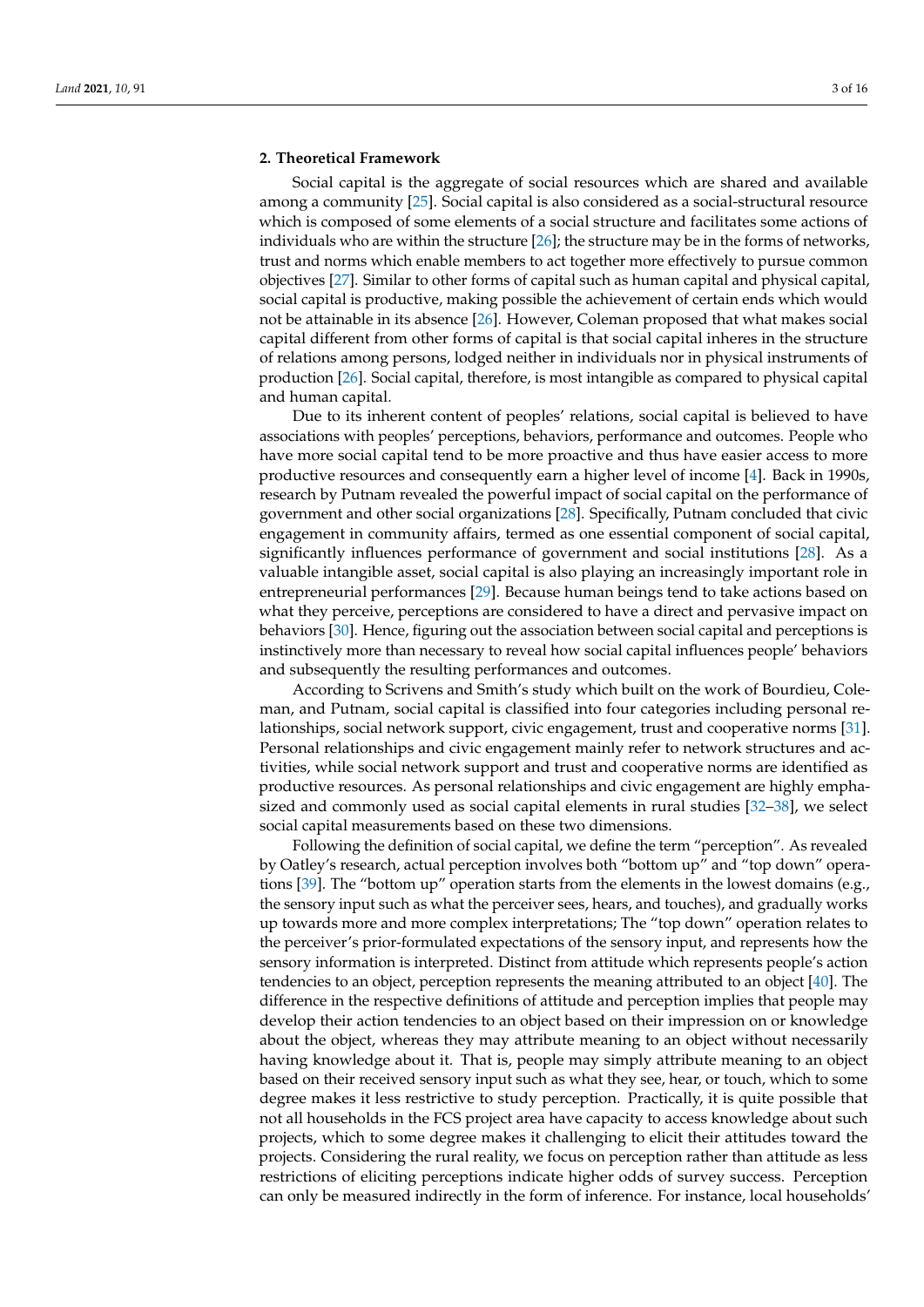# <span id="page-2-0"></span>**2. Theoretical Framework**

Social capital is the aggregate of social resources which are shared and available among a community [\[25\]](#page-14-15). Social capital is also considered as a social-structural resource which is composed of some elements of a social structure and facilitates some actions of individuals who are within the structure  $[26]$ ; the structure may be in the forms of networks, trust and norms which enable members to act together more effectively to pursue common objectives [\[27\]](#page-14-17). Similar to other forms of capital such as human capital and physical capital, social capital is productive, making possible the achievement of certain ends which would not be attainable in its absence [\[26\]](#page-14-16). However, Coleman proposed that what makes social capital different from other forms of capital is that social capital inheres in the structure of relations among persons, lodged neither in individuals nor in physical instruments of production [\[26\]](#page-14-16). Social capital, therefore, is most intangible as compared to physical capital and human capital.

Due to its inherent content of peoples' relations, social capital is believed to have associations with peoples' perceptions, behaviors, performance and outcomes. People who have more social capital tend to be more proactive and thus have easier access to more productive resources and consequently earn a higher level of income [\[4\]](#page-13-6). Back in 1990s, research by Putnam revealed the powerful impact of social capital on the performance of government and other social organizations [\[28\]](#page-14-18). Specifically, Putnam concluded that civic engagement in community affairs, termed as one essential component of social capital, significantly influences performance of government and social institutions [\[28\]](#page-14-18). As a valuable intangible asset, social capital is also playing an increasingly important role in entrepreneurial performances [\[29\]](#page-14-19). Because human beings tend to take actions based on what they perceive, perceptions are considered to have a direct and pervasive impact on behaviors [\[30\]](#page-14-20). Hence, figuring out the association between social capital and perceptions is instinctively more than necessary to reveal how social capital influences people' behaviors and subsequently the resulting performances and outcomes.

According to Scrivens and Smith's study which built on the work of Bourdieu, Coleman, and Putnam, social capital is classified into four categories including personal relationships, social network support, civic engagement, trust and cooperative norms [\[31\]](#page-14-21). Personal relationships and civic engagement mainly refer to network structures and activities, while social network support and trust and cooperative norms are identified as productive resources. As personal relationships and civic engagement are highly emphasized and commonly used as social capital elements in rural studies [\[32–](#page-14-22)[38\]](#page-15-0), we select social capital measurements based on these two dimensions.

Following the definition of social capital, we define the term "perception". As revealed by Oatley's research, actual perception involves both "bottom up" and "top down" operations [\[39\]](#page-15-1). The "bottom up" operation starts from the elements in the lowest domains (e.g., the sensory input such as what the perceiver sees, hears, and touches), and gradually works up towards more and more complex interpretations; The "top down" operation relates to the perceiver's prior-formulated expectations of the sensory input, and represents how the sensory information is interpreted. Distinct from attitude which represents people's action tendencies to an object, perception represents the meaning attributed to an object [\[40\]](#page-15-2). The difference in the respective definitions of attitude and perception implies that people may develop their action tendencies to an object based on their impression on or knowledge about the object, whereas they may attribute meaning to an object without necessarily having knowledge about it. That is, people may simply attribute meaning to an object based on their received sensory input such as what they see, hear, or touch, which to some degree makes it less restrictive to study perception. Practically, it is quite possible that not all households in the FCS project area have capacity to access knowledge about such projects, which to some degree makes it challenging to elicit their attitudes toward the projects. Considering the rural reality, we focus on perception rather than attitude as less restrictions of eliciting perceptions indicate higher odds of survey success. Perception can only be measured indirectly in the form of inference. For instance, local households'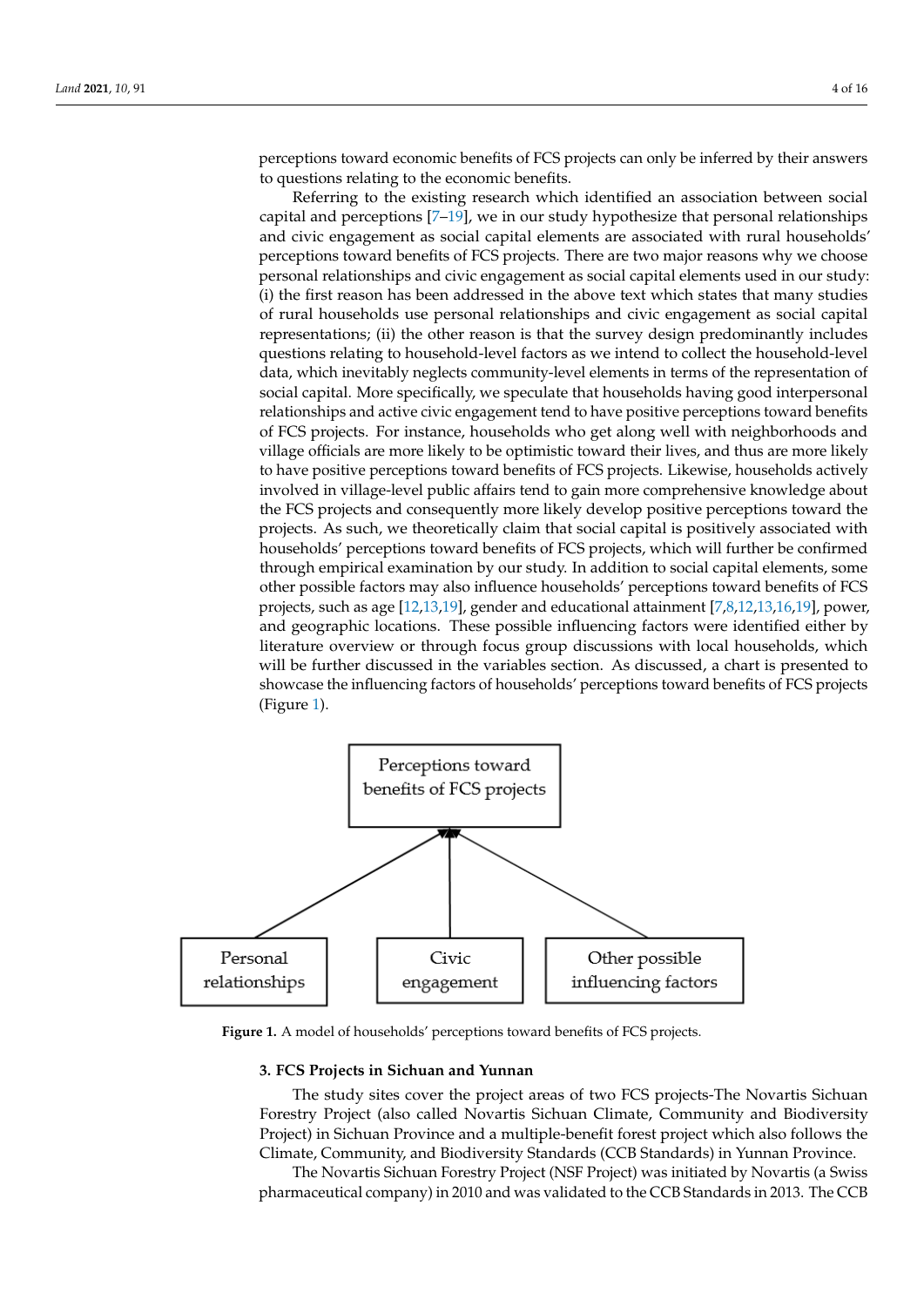perceptions toward economic benefits of FCS projects can only be inferred by their answers to questions relating to the economic benefits. local households' perceptions toward economic benefits of  $\mathbf{F}$ perceptions toward economic benefits of the projects can only be muent result to the existing to the existing research which is a state and association between social cap-

than attitude as less restrictions of elicities  $\mathcal{L}_{\mathcal{A}}$  perceptions indicate higher odds of surveys  $\mathcal{L}_{\mathcal{A}}$ 

Referring to the existing research which identified an association between social capital and perceptions  $[7–19]$  $[7–19]$ , we in our study hypothesize that personal relationships and civic engagement as social capital elements are associated with rural households'<br>tions to consider the choose perperceptions toward benefits of FCS projects. There are two major reasons why we choose perceptions toward benefits of the projects. There are two major reasons why we choose personal relationships and civic engagement as social capital elements used in our study: the first reason has been addressed in the above text which states that many studies (i) the first reason has been addressed in the above text which states that many studies of rural households use personal relationships and civic engagement as social capital rural households use personal relationships and civic engagement as social capital reprerepresentations; (ii) the other reason is that the survey design predominantly includes sentations; (ii) the other reason is that the survey design predominantly includes questions refresements, (a) the effect relation to that the state of design predeminantly increased data, which inevitably neglects community-level elements in terms of the representation of many measurements approach community and continuous of the community of the specifically social capital. More specifically, we speculate that households having good interpersonal relationships and active civic engagement tend to have positive perceptions toward benefits of FCS projects. For instance, households who get along well with neighborhoods and village officials are more likely to be optimistic toward their lives, and thus are more likely to have positive perceptions toward benefits of FCS projects. Likewise, households actively involved in village-level public affairs tend to gain more comprehensive knowledge about the FCS projects and consequently more likely develop positive perceptions toward the projects. As such, we theoretically claim that social capital is positively associated with households' perceptions toward benefits of FCS projects, which will further be confirmed households' perceptions toward benefits of FCS projects, which will further be confirmed through empirical examination by our study. In addition to social capital elements, some through empirical examination by our study. In addition to social capital elements, some other possible factors may also influence households' perceptions toward benefits of FCS projects, such as age [12,13,19], gender and educational attainment [7,8,12,13,16,19], power, projects, such as ag[e \[](#page-14-4)[12,](#page-14-5)[13,1](#page-14-11)9], gender and educational attain[m](#page-13-5)[en](#page-14-0)[t \[](#page-14-4)[7,8](#page-14-5)[,12](#page-14-8)[,13](#page-14-11),16,19], and geographic locations. These possible influencing factors were identified either by literature overview or through focus group discussions with local households, which will be further discussed in the variables section. As discussed, a chart is presented to will be further discussed in the variables section. As discussed, a chart is presented to showcase the influencing factors of households' perceptions toward benefits of FCS projects (Fi[gu](#page-3-0)re 1). itel and perceptions in our study hypothesize that personal relationships and personal relationships and personal relationships and personal relationships and personal relationships and personal relationships and personal

<span id="page-3-0"></span>

Figure 1. A model of households' perceptions toward benefits of FCS projects.

#### **3. FCS Projects in Sichuan and Yunnan**

The study sites cover the project areas of two FCS projects-The Novartis Sichuan Forestry Project (also called Novartis Sichuan Climate, Community and Biodiversity Project) in Sichuan Province and a multiple-benefit forest project which also follows the Climate, Community, and Biodiversity Standards (CCB Standards) in Yunnan Province.

The Novartis Sichuan Forestry Project (NSF Project) was initiated by Novartis (a Swiss pharmaceutical company) in 2010 and was validated to the CCB Standards in 2013. The CCB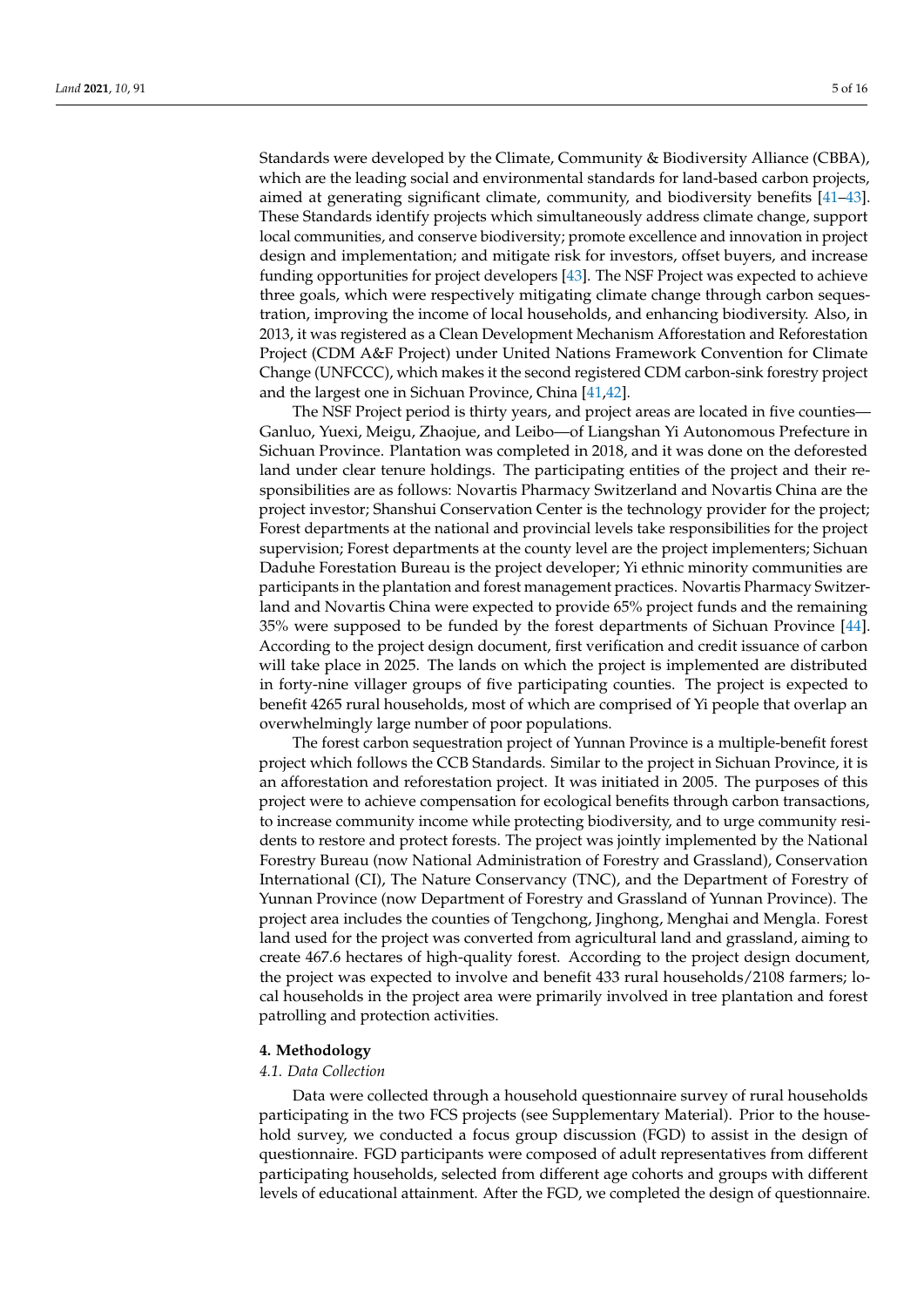Standards were developed by the Climate, Community & Biodiversity Alliance (CBBA), which are the leading social and environmental standards for land-based carbon projects, aimed at generating significant climate, community, and biodiversity benefits [\[41](#page-15-3)[–43\]](#page-15-4). These Standards identify projects which simultaneously address climate change, support local communities, and conserve biodiversity; promote excellence and innovation in project design and implementation; and mitigate risk for investors, offset buyers, and increase funding opportunities for project developers [\[43\]](#page-15-4). The NSF Project was expected to achieve three goals, which were respectively mitigating climate change through carbon sequestration, improving the income of local households, and enhancing biodiversity. Also, in 2013, it was registered as a Clean Development Mechanism Afforestation and Reforestation Project (CDM A&F Project) under United Nations Framework Convention for Climate Change (UNFCCC), which makes it the second registered CDM carbon-sink forestry project and the largest one in Sichuan Province, China [\[41,](#page-15-3)[42\]](#page-15-5).

The NSF Project period is thirty years, and project areas are located in five counties— Ganluo, Yuexi, Meigu, Zhaojue, and Leibo—of Liangshan Yi Autonomous Prefecture in Sichuan Province. Plantation was completed in 2018, and it was done on the deforested land under clear tenure holdings. The participating entities of the project and their responsibilities are as follows: Novartis Pharmacy Switzerland and Novartis China are the project investor; Shanshui Conservation Center is the technology provider for the project; Forest departments at the national and provincial levels take responsibilities for the project supervision; Forest departments at the county level are the project implementers; Sichuan Daduhe Forestation Bureau is the project developer; Yi ethnic minority communities are participants in the plantation and forest management practices. Novartis Pharmacy Switzerland and Novartis China were expected to provide 65% project funds and the remaining 35% were supposed to be funded by the forest departments of Sichuan Province [\[44\]](#page-15-6). According to the project design document, first verification and credit issuance of carbon will take place in 2025. The lands on which the project is implemented are distributed in forty-nine villager groups of five participating counties. The project is expected to benefit 4265 rural households, most of which are comprised of Yi people that overlap an overwhelmingly large number of poor populations.

The forest carbon sequestration project of Yunnan Province is a multiple-benefit forest project which follows the CCB Standards. Similar to the project in Sichuan Province, it is an afforestation and reforestation project. It was initiated in 2005. The purposes of this project were to achieve compensation for ecological benefits through carbon transactions, to increase community income while protecting biodiversity, and to urge community residents to restore and protect forests. The project was jointly implemented by the National Forestry Bureau (now National Administration of Forestry and Grassland), Conservation International (CI), The Nature Conservancy (TNC), and the Department of Forestry of Yunnan Province (now Department of Forestry and Grassland of Yunnan Province). The project area includes the counties of Tengchong, Jinghong, Menghai and Mengla. Forest land used for the project was converted from agricultural land and grassland, aiming to create 467.6 hectares of high-quality forest. According to the project design document, the project was expected to involve and benefit 433 rural households/2108 farmers; local households in the project area were primarily involved in tree plantation and forest patrolling and protection activities.

# **4. Methodology**

#### *4.1. Data Collection*

Data were collected through a household questionnaire survey of rural households participating in the two FCS projects (see Supplementary Material). Prior to the household survey, we conducted a focus group discussion (FGD) to assist in the design of questionnaire. FGD participants were composed of adult representatives from different participating households, selected from different age cohorts and groups with different levels of educational attainment. After the FGD, we completed the design of questionnaire.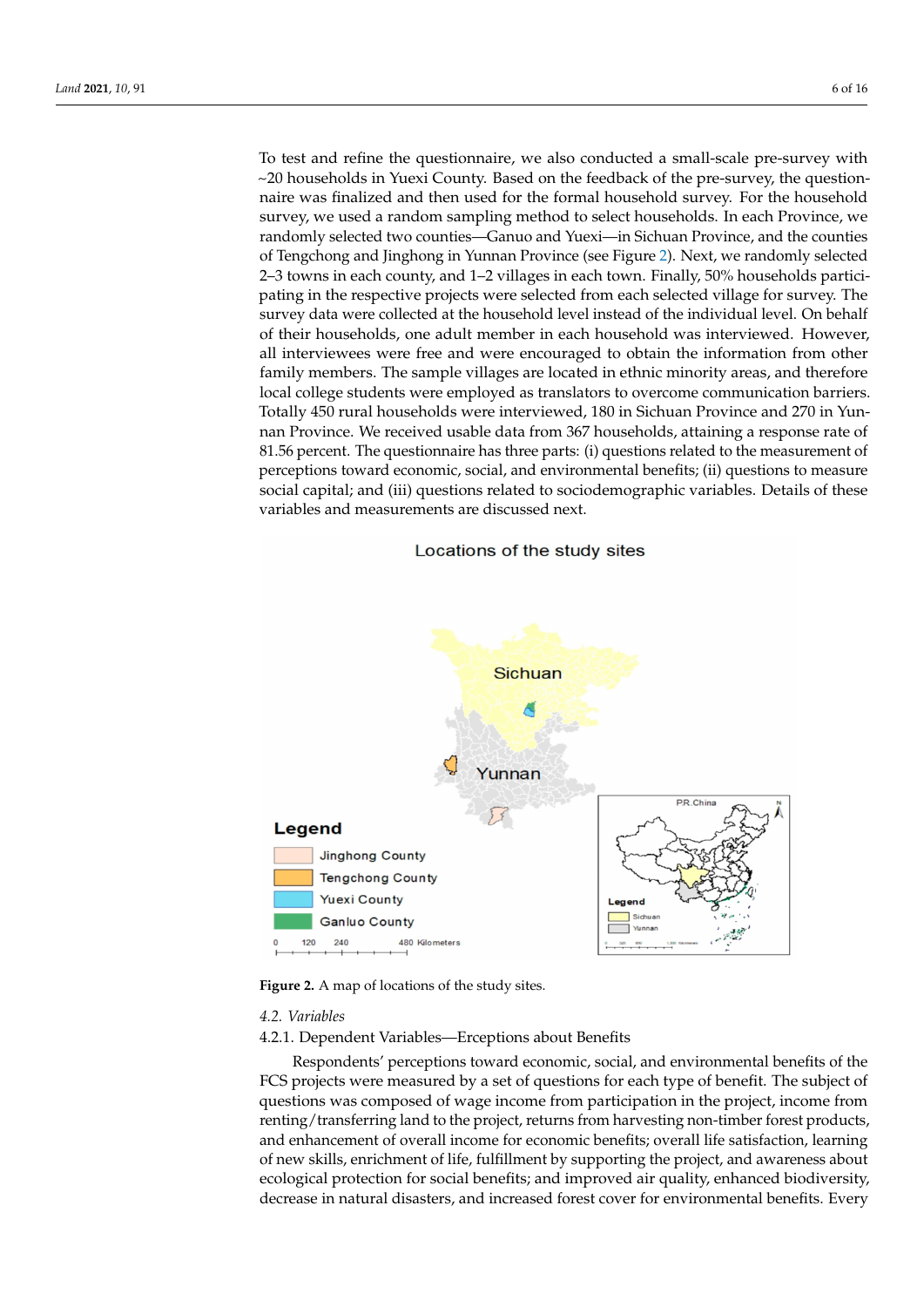To test and refine the questionnaire, we also conducted a small-scale pre-survey with  $\sim$ 20 households in Yuexi County. Based on the feedback of the pre-survey, the questionnaire was finalized and then used for the formal household survey. For the household survey, we used a random sampling method to select households. In each Province, we randomly selected two counties—Ganuo and Yuexi—in Sichuan Province, and the counties of Tengchong and Jinghong in Yunnan Province (see Figure [2\)](#page-5-0). Next, we randomly selected 2–3 towns in each county, and 1–2 villages in each town. Finally, 50% households participating in the respective projects were selected from each selected village for survey. The survey data were collected at the household level instead of the individual level. On behalf of their households, one adult member in each household was interviewed. However,<br> all interviewees were free and were encouraged to obtain the information from other family members. The sample villages are located in ethnic minority areas, and therefore local college students were employed as translators to overcome communication barriers.<br>Tally 450 rural house and 270 in Yunnan Totally 450 rural households were interviewed, 180 in Sichuan Province and 270 in Yunnan Province. We received usable data from 367 households, attaining a response rate of 81.56 percent. The questionnaire has three parts: (i) questions related to the measurement of perceptions toward economic, social, and environmental benefits; (ii) questions to measure perceptions toward certionide, social, and criteriormerial scrience, (ii) questions to include variables and measurements are discussed next. these variables and measurements are discussed next. percent. The questionnaire has three parts: (i) questions related to the measurement of  $\theta$ 

# Locations of the study sites

<span id="page-5-0"></span>

**Figure 2.** A map of locations of the study sites. **Figure 2.** A map of locations of the study sites.

## *4.2. Variables*

4.2.1. Dependent Variables—Erceptions about Benefits

Respondents' perceptions toward economic, social, and environmental benefits of the FCS projects were measured by a set of questions for each type of benefit. The subject of questions was composed of wage income from participation in the project, income from renting/transferring land to the project, returns from harvesting non-timber forest products, and enhancement of overall income for economic benefits; overall life satisfaction, learning of new skills, enrichment of life, fulfillment by supporting the project, and awareness about ecological protection for social benefits; and improved air quality, enhanced biodiversity, decrease in natural disasters, and increased forest cover for environmental benefits. Every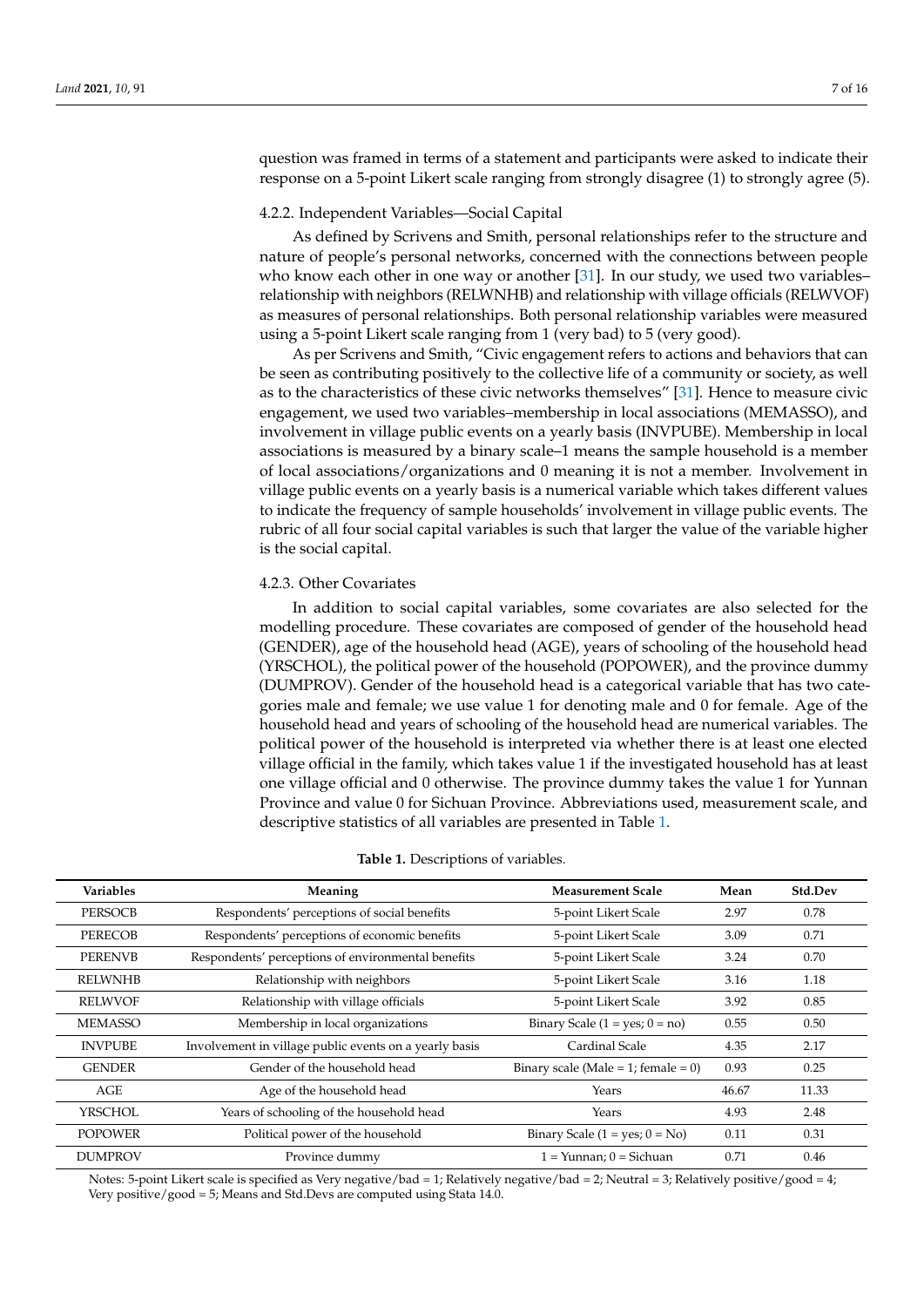question was framed in terms of a statement and participants were asked to indicate their response on a 5-point Likert scale ranging from strongly disagree (1) to strongly agree (5).

# 4.2.2. Independent Variables—Social Capital

As defined by Scrivens and Smith, personal relationships refer to the structure and nature of people's personal networks, concerned with the connections between people who know each other in one way or another [\[31\]](#page-14-21). In our study, we used two variables– relationship with neighbors (RELWNHB) and relationship with village officials (RELWVOF) as measures of personal relationships. Both personal relationship variables were measured using a 5-point Likert scale ranging from 1 (very bad) to 5 (very good).

As per Scrivens and Smith, "Civic engagement refers to actions and behaviors that can be seen as contributing positively to the collective life of a community or society, as well as to the characteristics of these civic networks themselves" [\[31\]](#page-14-21). Hence to measure civic engagement, we used two variables–membership in local associations (MEMASSO), and involvement in village public events on a yearly basis (INVPUBE). Membership in local associations is measured by a binary scale–1 means the sample household is a member of local associations/organizations and 0 meaning it is not a member. Involvement in village public events on a yearly basis is a numerical variable which takes different values to indicate the frequency of sample households' involvement in village public events. The rubric of all four social capital variables is such that larger the value of the variable higher is the social capital.

#### 4.2.3. Other Covariates

In addition to social capital variables, some covariates are also selected for the modelling procedure. These covariates are composed of gender of the household head (GENDER), age of the household head (AGE), years of schooling of the household head (YRSCHOL), the political power of the household (POPOWER), and the province dummy (DUMPROV). Gender of the household head is a categorical variable that has two categories male and female; we use value 1 for denoting male and 0 for female. Age of the household head and years of schooling of the household head are numerical variables. The political power of the household is interpreted via whether there is at least one elected village official in the family, which takes value 1 if the investigated household has at least one village official and 0 otherwise. The province dummy takes the value 1 for Yunnan Province and value 0 for Sichuan Province. Abbreviations used, measurement scale, and descriptive statistics of all variables are presented in Table [1.](#page-6-0)

<span id="page-6-0"></span>

| <b>Variables</b> | Meaning                                                | <b>Measurement Scale</b>            | Mean  | Std.Dev |
|------------------|--------------------------------------------------------|-------------------------------------|-------|---------|
| <b>PERSOCB</b>   | Respondents' perceptions of social benefits            | 5-point Likert Scale                | 2.97  | 0.78    |
| <b>PERECOB</b>   | Respondents' perceptions of economic benefits          | 5-point Likert Scale                | 3.09  | 0.71    |
| <b>PERENVB</b>   | Respondents' perceptions of environmental benefits     | 5-point Likert Scale                | 3.24  | 0.70    |
| <b>RELWNHB</b>   | Relationship with neighbors                            | 5-point Likert Scale                | 3.16  | 1.18    |
| <b>RELWVOF</b>   | Relationship with village officials                    | 5-point Likert Scale                | 3.92  | 0.85    |
| <b>MEMASSO</b>   | Membership in local organizations                      | Binary Scale $(1 = yes; 0 = no)$    | 0.55  | 0.50    |
| <b>INVPUBE</b>   | Involvement in village public events on a yearly basis | Cardinal Scale                      | 4.35  | 2.17    |
| <b>GENDER</b>    | Gender of the household head                           | Binary scale (Male = 1; female = 0) | 0.93  | 0.25    |
| AGE              | Age of the household head                              | Years                               | 46.67 | 11.33   |
| <b>YRSCHOL</b>   | Years of schooling of the household head               | Years                               | 4.93  | 2.48    |
| <b>POPOWER</b>   | Political power of the household                       | Binary Scale $(1 = yes; 0 = No)$    | 0.11  | 0.31    |
| <b>DUMPROV</b>   | Province dummy                                         | $1 =$ Yunnan; $0 =$ Sichuan         | 0.71  | 0.46    |

#### **Table 1.** Descriptions of variables.

Notes: 5-point Likert scale is specified as Very negative/bad = 1; Relatively negative/bad = 2; Neutral = 3; Relatively positive/good = 4; Very positive/good = 5; Means and Std.Devs are computed using Stata 14.0.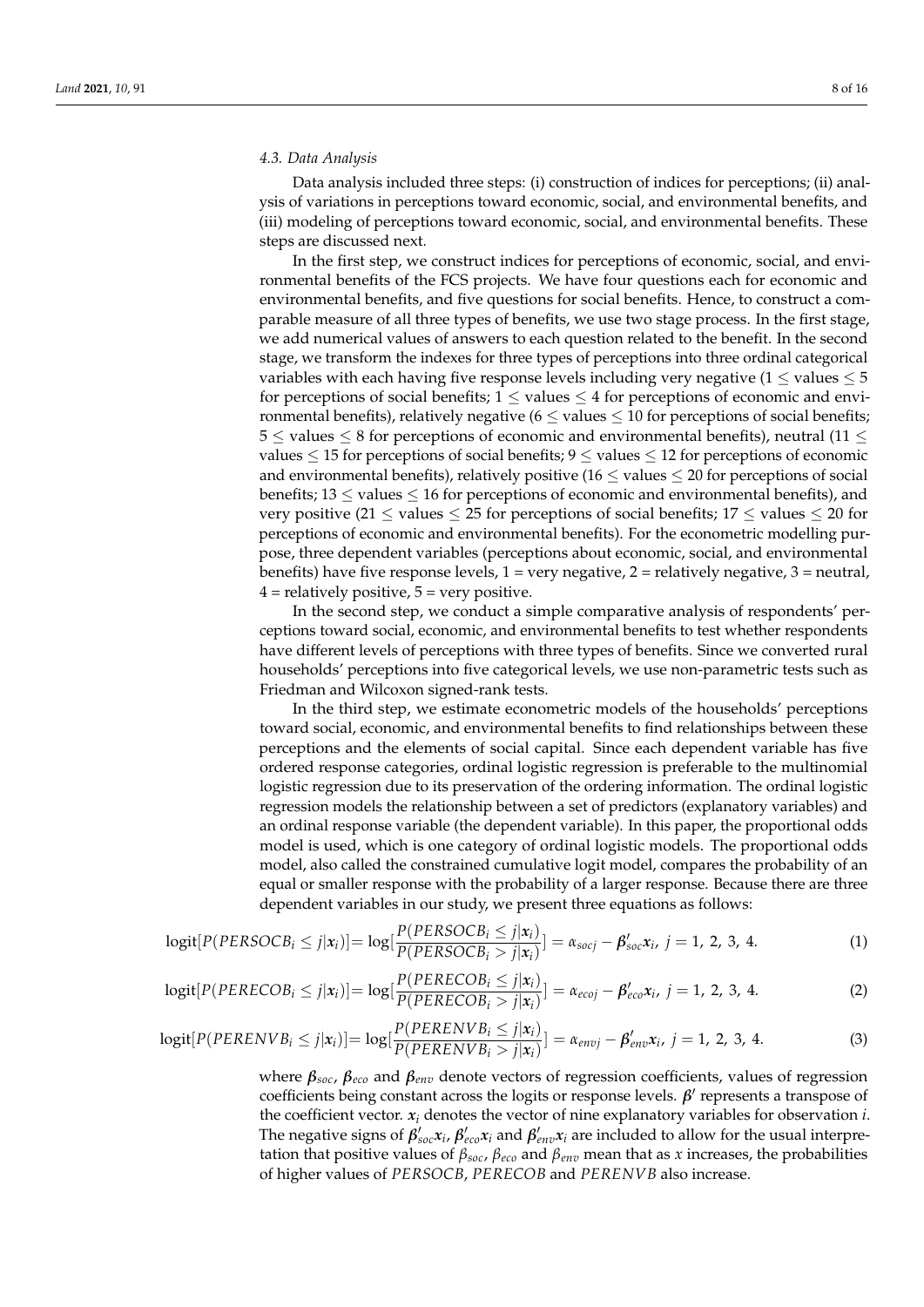#### *4.3. Data Analysis*

Data analysis included three steps: (i) construction of indices for perceptions; (ii) analysis of variations in perceptions toward economic, social, and environmental benefits, and (iii) modeling of perceptions toward economic, social, and environmental benefits. These steps are discussed next.

In the first step, we construct indices for perceptions of economic, social, and environmental benefits of the FCS projects. We have four questions each for economic and environmental benefits, and five questions for social benefits. Hence, to construct a comparable measure of all three types of benefits, we use two stage process. In the first stage, we add numerical values of answers to each question related to the benefit. In the second stage, we transform the indexes for three types of perceptions into three ordinal categorical variables with each having five response levels including very negative ( $1 \leq$  values  $\leq 5$ for perceptions of social benefits;  $1 \leq$  values  $\leq$  4 for perceptions of economic and environmental benefits), relatively negative  $(6 \leq$  values  $\leq 10$  for perceptions of social benefits;  $5 \leq$  values  $\leq$  8 for perceptions of economic and environmental benefits), neutral (11  $\leq$ values  $\leq$  15 for perceptions of social benefits;  $9 \leq$  values  $\leq$  12 for perceptions of economic and environmental benefits), relatively positive (16  $\leq$  values  $\leq$  20 for perceptions of social benefits;  $13 \leq$  values  $\leq 16$  for perceptions of economic and environmental benefits), and very positive (21  $\leq$  values  $\leq$  25 for perceptions of social benefits; 17  $\leq$  values  $\leq$  20 for perceptions of economic and environmental benefits). For the econometric modelling purpose, three dependent variables (perceptions about economic, social, and environmental benefits) have five response levels,  $1 = \text{very negative}, 2 = \text{relatively negative}, 3 = \text{neutral}$ ,  $4$  = relatively positive,  $5$  = very positive.

In the second step, we conduct a simple comparative analysis of respondents' perceptions toward social, economic, and environmental benefits to test whether respondents have different levels of perceptions with three types of benefits. Since we converted rural households' perceptions into five categorical levels, we use non-parametric tests such as Friedman and Wilcoxon signed-rank tests.

In the third step, we estimate econometric models of the households' perceptions toward social, economic, and environmental benefits to find relationships between these perceptions and the elements of social capital. Since each dependent variable has five ordered response categories, ordinal logistic regression is preferable to the multinomial logistic regression due to its preservation of the ordering information. The ordinal logistic regression models the relationship between a set of predictors (explanatory variables) and an ordinal response variable (the dependent variable). In this paper, the proportional odds model is used, which is one category of ordinal logistic models. The proportional odds model, also called the constrained cumulative logit model, compares the probability of an equal or smaller response with the probability of a larger response. Because there are three dependent variables in our study, we present three equations as follows:

$$
logit[P(PERSOCBi \leq j|xi)] = log[\frac{P(PERSOCBi \leq j|xi)}{P(PERSOCBi > j|xi)}] = \alpha_{soci} - \beta'_{soc}xi, j = 1, 2, 3, 4.
$$
 (1)

$$
logit[P(PERECOBi \le j|xi)] = log[\frac{P(PERECOBi \le j|xi)}{P(PERECOBi > j|xi)}] = \alpha_{ecoj} - \beta'_{eco}xi, j = 1, 2, 3, 4.
$$
 (2)

$$
logit[P(PERENVBi \le j|xi)] = log[\frac{P(PERENVBi \le j|xi)}{P(PERENVBi > j|xi)}] = \alpha_{envj} - \beta'_{env}xi, j = 1, 2, 3, 4.
$$
 (3)

where *βsoc*, *βeco* and *βenv* denote vectors of regression coefficients, values of regression coefficients being constant across the logits or response levels. *β*<sup>'</sup> represents a transpose of the coefficient vector.  $x_i$  denotes the vector of nine explanatory variables for observation  $i$ . The negative signs of  $\beta'_{soc}x_i$ ,  $\beta'_{eco}x_i$  and  $\beta'_{env}x_i$  are included to allow for the usual interpretation that positive values of *βsoc*, *βeco* and *βenv* mean that as *x* increases, the probabilities of higher values of *PERSOCB*, *PERECOB* and *PERENVB* also increase.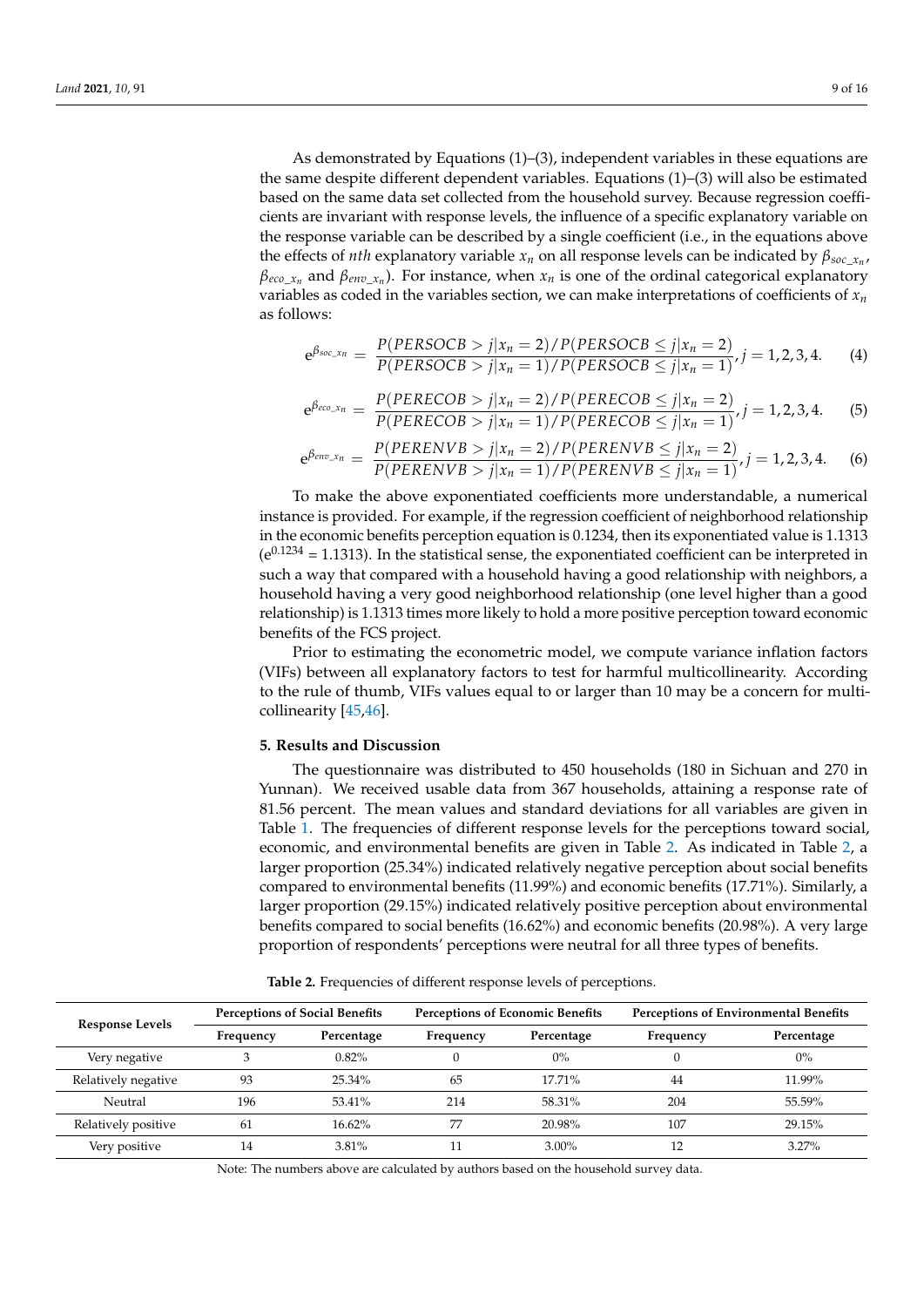As demonstrated by Equations (1)–(3), independent variables in these equations are the same despite different dependent variables. Equations (1)–(3) will also be estimated based on the same data set collected from the household survey. Because regression coefficients are invariant with response levels, the influence of a specific explanatory variable on the response variable can be described by a single coefficient (i.e., in the equations above the effects of *nth* explanatory variable *x<sup>n</sup>* on all response levels can be indicated by *βsoc*\_*x<sup>n</sup>* , *βeco*\_*x<sup>n</sup>* and *βenv*\_*x<sup>n</sup>* ). For instance, when *x<sup>n</sup>* is one of the ordinal categorical explanatory variables as coded in the variables section, we can make interpretations of coefficients of *x<sup>n</sup>* as follows:

$$
e^{\beta_{soc\_x_n}} = \frac{P(PERSOCB > j | x_n = 2) / P(PERSOCB \le j | x_n = 2)}{P(PERSOCB > j | x_n = 1) / P(PERSOCB \le j | x_n = 1)} / j = 1, 2, 3, 4.
$$
 (4)

$$
e^{\beta_{eco\_x_n}} = \frac{P(PERECOB > j | x_n = 2) / P(PERECOB \le j | x_n = 2)}{P(PERECOB > j | x_n = 1) / P(PERECOB \le j | x_n = 1)} / j = 1, 2, 3, 4.
$$
 (5)

$$
e^{\beta_{env\_x_n}} = \frac{P(PERENVB > j | x_n = 2) / P(PERENVB \le j | x_n = 2)}{P(PERENVB > j | x_n = 1) / P(PERENVB \le j | x_n = 1)}, j = 1, 2, 3, 4.
$$
 (6)

To make the above exponentiated coefficients more understandable, a numerical instance is provided. For example, if the regression coefficient of neighborhood relationship in the economic benefits perception equation is 0.1234, then its exponentiated value is 1.1313  $(e^{0.1234} = 1.1313)$ . In the statistical sense, the exponentiated coefficient can be interpreted in such a way that compared with a household having a good relationship with neighbors, a household having a very good neighborhood relationship (one level higher than a good relationship) is 1.1313 times more likely to hold a more positive perception toward economic benefits of the FCS project.

Prior to estimating the econometric model, we compute variance inflation factors (VIFs) between all explanatory factors to test for harmful multicollinearity. According to the rule of thumb, VIFs values equal to or larger than 10 may be a concern for multicollinearity [\[45](#page-15-7)[,46\]](#page-15-8).

## **5. Results and Discussion**

The questionnaire was distributed to 450 households (180 in Sichuan and 270 in Yunnan). We received usable data from 367 households, attaining a response rate of 81.56 percent. The mean values and standard deviations for all variables are given in Table [1.](#page-6-0) The frequencies of different response levels for the perceptions toward social, economic, and environmental benefits are given in Table [2.](#page-8-0) As indicated in Table [2,](#page-8-0) a larger proportion (25.34%) indicated relatively negative perception about social benefits compared to environmental benefits (11.99%) and economic benefits (17.71%). Similarly, a larger proportion (29.15%) indicated relatively positive perception about environmental benefits compared to social benefits (16.62%) and economic benefits (20.98%). A very large proportion of respondents' perceptions were neutral for all three types of benefits.

<span id="page-8-0"></span>

| <b>Response Levels</b> | <b>Perceptions of Social Benefits</b> |            | <b>Perceptions of Economic Benefits</b> |            | Perceptions of Environmental Benefits |            |  |
|------------------------|---------------------------------------|------------|-----------------------------------------|------------|---------------------------------------|------------|--|
|                        | Frequency                             | Percentage | Frequency                               | Percentage | Frequency                             | Percentage |  |
| Very negative          |                                       | $0.82\%$   |                                         | $0\%$      |                                       | $0\%$      |  |
| Relatively negative    | 93                                    | $25.34\%$  | 65                                      | $17.71\%$  | 44                                    | 11.99%     |  |
| Neutral                | 196                                   | 53.41%     | 214                                     | 58.31%     | 204                                   | 55.59%     |  |
| Relatively positive    | 61                                    | $16.62\%$  | 77                                      | 20.98%     | 107                                   | 29.15%     |  |
| Very positive          | 14                                    | 3.81%      |                                         | $3.00\%$   |                                       | 3.27%      |  |

**Table 2.** Frequencies of different response levels of perceptions.

Note: The numbers above are calculated by authors based on the household survey data.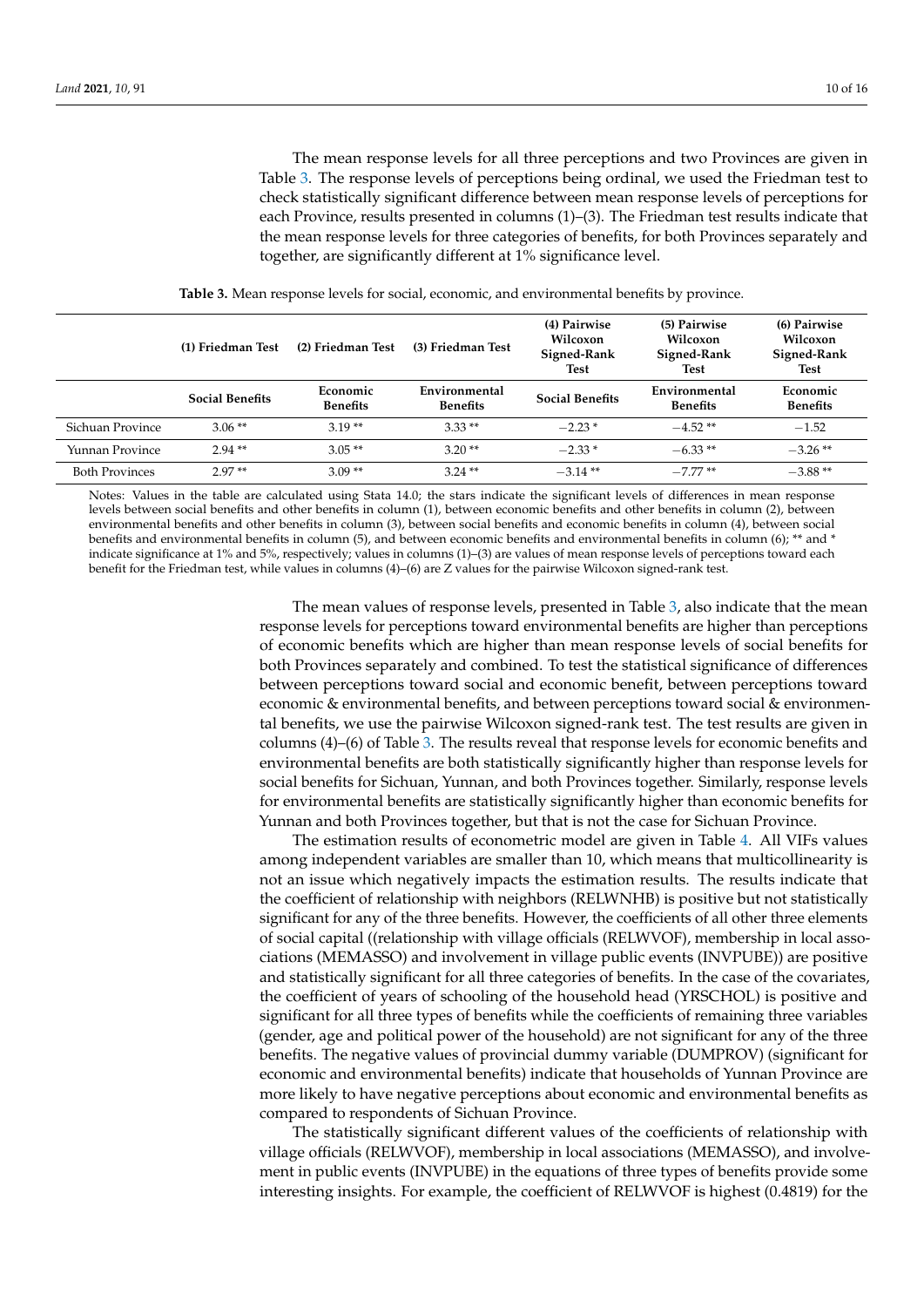The mean response levels for all three perceptions and two Provinces are given in Table [3.](#page-9-0) The response levels of perceptions being ordinal, we used the Friedman test to check statistically significant difference between mean response levels of perceptions for each Province, results presented in columns (1)–(3). The Friedman test results indicate that the mean response levels for three categories of benefits, for both Provinces separately and together, are significantly different at 1% significance level.

<span id="page-9-0"></span>

|                       | (1) Friedman Test      | (2) Friedman Test           | (3) Friedman Test                | (4) Pairwise<br>Wilcoxon<br>Signed-Rank<br>Test | (5) Pairwise<br>Wilcoxon<br>Signed-Rank<br>Test | (6) Pairwise<br>Wilcoxon<br>Signed-Rank<br><b>Test</b> |  |
|-----------------------|------------------------|-----------------------------|----------------------------------|-------------------------------------------------|-------------------------------------------------|--------------------------------------------------------|--|
|                       | <b>Social Benefits</b> | Economic<br><b>Benefits</b> | Environmental<br><b>Benefits</b> | <b>Social Benefits</b>                          | Environmental<br><b>Benefits</b>                | Economic<br><b>Benefits</b>                            |  |
| Sichuan Province      | $3.06**$               | $3.19**$                    | $3.33**$                         | $-2.23*$                                        | $-4.52**$                                       | $-1.52$                                                |  |
| Yunnan Province       | $2.94**$               | $3.05**$                    | $3.20**$                         | $-2.33*$                                        | $-6.33**$                                       | $-3.26**$                                              |  |
| <b>Both Provinces</b> | $2.97**$               | $3.09**$                    | $3.24**$                         | $-3.14**$                                       | $-7.77**$                                       | $-3.88**$                                              |  |

**Table 3.** Mean response levels for social, economic, and environmental benefits by province.

Notes: Values in the table are calculated using Stata 14.0; the stars indicate the significant levels of differences in mean response levels between social benefits and other benefits in column (1), between economic benefits and other benefits in column (2), between environmental benefits and other benefits in column (3), between social benefits and economic benefits in column (4), between social benefits and environmental benefits in column (5), and between economic benefits and environmental benefits in column (6); \*\* and \* indicate significance at 1% and 5%, respectively; values in columns (1)–(3) are values of mean response levels of perceptions toward each benefit for the Friedman test, while values in columns (4)–(6) are Z values for the pairwise Wilcoxon signed-rank test.

> The mean values of response levels, presented in Table [3,](#page-9-0) also indicate that the mean response levels for perceptions toward environmental benefits are higher than perceptions of economic benefits which are higher than mean response levels of social benefits for both Provinces separately and combined. To test the statistical significance of differences between perceptions toward social and economic benefit, between perceptions toward economic & environmental benefits, and between perceptions toward social & environmental benefits, we use the pairwise Wilcoxon signed-rank test. The test results are given in columns (4)–(6) of Table [3.](#page-9-0) The results reveal that response levels for economic benefits and environmental benefits are both statistically significantly higher than response levels for social benefits for Sichuan, Yunnan, and both Provinces together. Similarly, response levels for environmental benefits are statistically significantly higher than economic benefits for Yunnan and both Provinces together, but that is not the case for Sichuan Province.

> The estimation results of econometric model are given in Table [4.](#page-10-0) All VIFs values among independent variables are smaller than 10, which means that multicollinearity is not an issue which negatively impacts the estimation results. The results indicate that the coefficient of relationship with neighbors (RELWNHB) is positive but not statistically significant for any of the three benefits. However, the coefficients of all other three elements of social capital ((relationship with village officials (RELWVOF), membership in local associations (MEMASSO) and involvement in village public events (INVPUBE)) are positive and statistically significant for all three categories of benefits. In the case of the covariates, the coefficient of years of schooling of the household head (YRSCHOL) is positive and significant for all three types of benefits while the coefficients of remaining three variables (gender, age and political power of the household) are not significant for any of the three benefits. The negative values of provincial dummy variable (DUMPROV) (significant for economic and environmental benefits) indicate that households of Yunnan Province are more likely to have negative perceptions about economic and environmental benefits as compared to respondents of Sichuan Province.

> The statistically significant different values of the coefficients of relationship with village officials (RELWVOF), membership in local associations (MEMASSO), and involvement in public events (INVPUBE) in the equations of three types of benefits provide some interesting insights. For example, the coefficient of RELWVOF is highest (0.4819) for the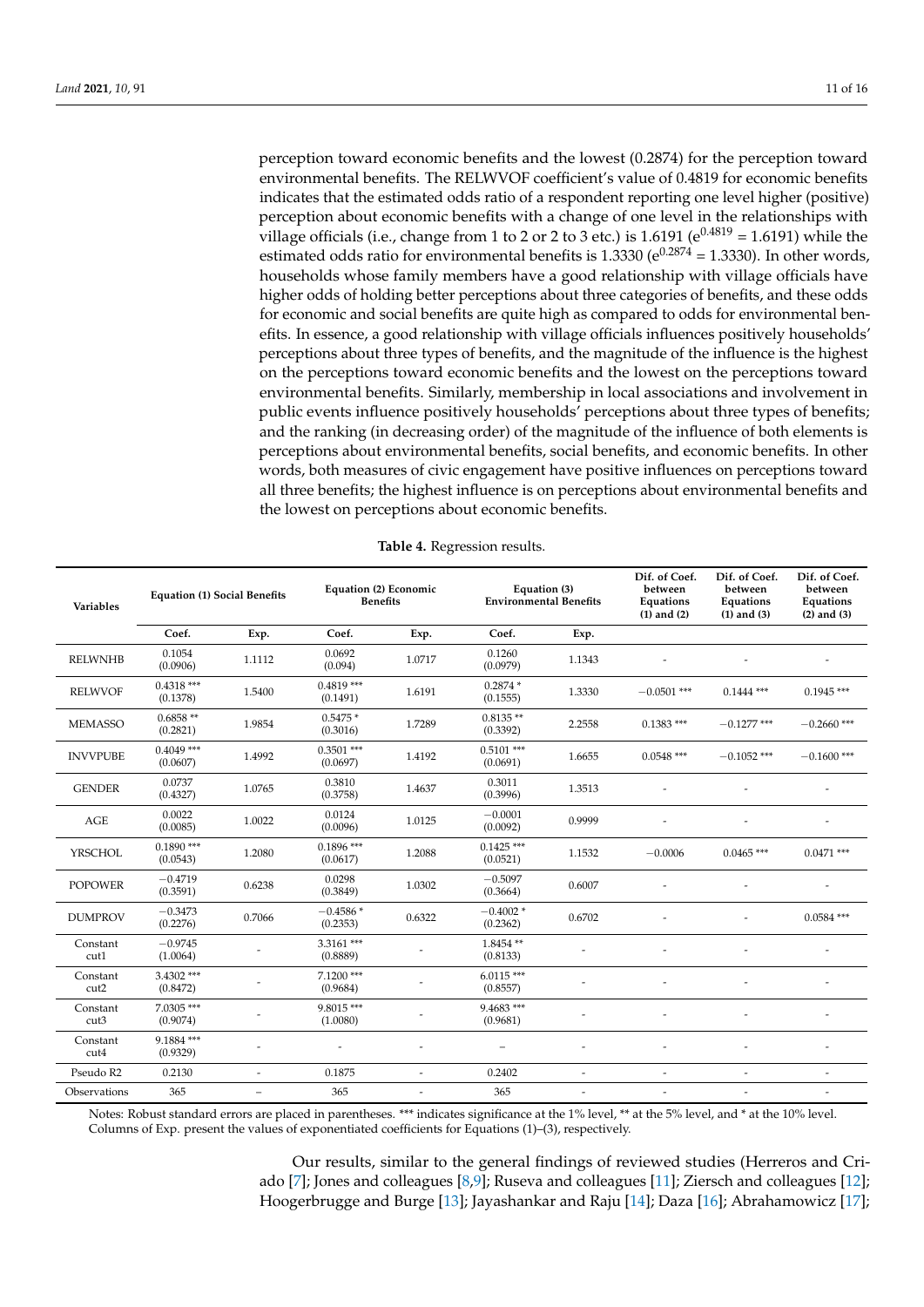perception toward economic benefits and the lowest (0.2874) for the perception toward environmental benefits. The RELWVOF coefficient's value of 0.4819 for economic benefits indicates that the estimated odds ratio of a respondent reporting one level higher (positive) perception about economic benefits with a change of one level in the relationships with village officials (i.e., change from 1 to 2 or 2 to 3 etc.) is 1.6191 ( $e^{0.4819}$  = 1.6191) while the estimated odds ratio for environmental benefits is 1.3330 ( $e^{0.2874}$  = 1.3330). In other words, households whose family members have a good relationship with village officials have higher odds of holding better perceptions about three categories of benefits, and these odds for economic and social benefits are quite high as compared to odds for environmental benefits. In essence, a good relationship with village officials influences positively households' perceptions about three types of benefits, and the magnitude of the influence is the highest on the perceptions toward economic benefits and the lowest on the perceptions toward environmental benefits. Similarly, membership in local associations and involvement in public events influence positively households' perceptions about three types of benefits; and the ranking (in decreasing order) of the magnitude of the influence of both elements is perceptions about environmental benefits, social benefits, and economic benefits. In other words, both measures of civic engagement have positive influences on perceptions toward all three benefits; the highest influence is on perceptions about environmental benefits and the lowest on perceptions about economic benefits.

<span id="page-10-0"></span>

| <b>Variables</b> | <b>Equation (1) Social Benefits</b> |                          | Equation (2) Economic<br><b>Benefits</b> |        | Equation (3)<br><b>Environmental Benefits</b> |                              | Dif. of Coef.<br>between<br><b>Equations</b><br>$(1)$ and $(2)$ | Dif. of Coef.<br>between<br>Equations<br>$(1)$ and $(3)$ | Dif. of Coef.<br>between<br><b>Equations</b><br>$(2)$ and $(3)$ |
|------------------|-------------------------------------|--------------------------|------------------------------------------|--------|-----------------------------------------------|------------------------------|-----------------------------------------------------------------|----------------------------------------------------------|-----------------------------------------------------------------|
|                  | Coef.                               | Exp.                     | Coef.                                    | Exp.   | Coef.                                         | Exp.                         |                                                                 |                                                          |                                                                 |
| <b>RELWNHB</b>   | 0.1054<br>(0.0906)                  | 1.1112                   | 0.0692<br>(0.094)                        | 1.0717 | 0.1260<br>(0.0979)                            | 1.1343                       |                                                                 |                                                          |                                                                 |
| <b>RELWVOF</b>   | $0.4318$ ***<br>(0.1378)            | 1.5400                   | $0.4819***$<br>(0.1491)                  | 1.6191 | $0.2874*$<br>(0.1555)                         | 1.3330                       | $-0.0501$ ***                                                   | $0.1444$ ***                                             | $0.1945$ ***                                                    |
| <b>MEMASSO</b>   | $0.6858**$<br>(0.2821)              | 1.9854                   | $0.5475*$<br>(0.3016)                    | 1.7289 | $0.8135**$<br>(0.3392)                        | 2.2558                       | $0.1383$ ***                                                    | $-0.1277$ ***                                            | $-0.2660$ ***                                                   |
| <b>INVVPUBE</b>  | $0.4049$ ***<br>(0.0607)            | 1.4992                   | $0.3501$ ***<br>(0.0697)                 | 1.4192 | $0.5101$ ***<br>(0.0691)                      | 1.6655                       | $0.0548$ ***                                                    | $-0.1052$ ***                                            | $-0.1600$ ***                                                   |
| <b>GENDER</b>    | 0.0737<br>(0.4327)                  | 1.0765                   | 0.3810<br>(0.3758)                       | 1.4637 | 0.3011<br>(0.3996)                            | 1.3513                       |                                                                 |                                                          |                                                                 |
| <b>AGE</b>       | 0.0022<br>(0.0085)                  | 1.0022                   | 0.0124<br>(0.0096)                       | 1.0125 | $-0.0001$<br>(0.0092)                         | 0.9999                       |                                                                 |                                                          |                                                                 |
| <b>YRSCHOL</b>   | $0.1890$ ***<br>(0.0543)            | 1.2080                   | $0.1896$ ***<br>(0.0617)                 | 1.2088 | $0.1425$ ***<br>(0.0521)                      | 1.1532                       | $-0.0006$                                                       | $0.0465$ ***                                             | $0.0471$ ***                                                    |
| <b>POPOWER</b>   | $-0.4719$<br>(0.3591)               | 0.6238                   | 0.0298<br>(0.3849)                       | 1.0302 | $-0.5097$<br>(0.3664)                         | 0.6007                       |                                                                 |                                                          |                                                                 |
| <b>DUMPROV</b>   | $-0.3473$<br>(0.2276)               | 0.7066                   | $-0.4586*$<br>(0.2353)                   | 0.6322 | $-0.4002*$<br>(0.2362)                        | 0.6702                       |                                                                 |                                                          | $0.0584$ ***                                                    |
| Constant<br>cut1 | $-0.9745$<br>(1.0064)               |                          | $3.3161$ ***<br>(0.8889)                 |        | 1.8454**<br>(0.8133)                          |                              |                                                                 |                                                          |                                                                 |
| Constant<br>cut2 | $3.4302$ ***<br>(0.8472)            |                          | $7.1200$ ***<br>(0.9684)                 |        | $6.0115***$<br>(0.8557)                       |                              |                                                                 |                                                          |                                                                 |
| Constant<br>cut3 | 7.0305 ***<br>(0.9074)              |                          | 9.8015***<br>(1.0080)                    |        | $9.4683$ ***<br>(0.9681)                      |                              |                                                                 |                                                          |                                                                 |
| Constant<br>cut4 | 9.1884***<br>(0.9329)               | $\overline{a}$           |                                          |        | $\overline{\phantom{0}}$                      |                              |                                                                 |                                                          |                                                                 |
| Pseudo R2        | 0.2130                              | $\overline{a}$           | 0.1875                                   |        | 0.2402                                        | $\overline{\phantom{a}}$     | $\overline{\phantom{a}}$                                        | $\overline{\phantom{a}}$                                 | ۰                                                               |
| Observations     | 365                                 | $\overline{\phantom{0}}$ | 365                                      |        | 365                                           | $\qquad \qquad \blacksquare$ | $\overline{\phantom{a}}$                                        | $\overline{\phantom{a}}$                                 |                                                                 |

**Table 4.** Regression results.

Notes: Robust standard errors are placed in parentheses. \*\*\* indicates significance at the 1% level, \*\* at the 5% level, and \* at the 10% level. Columns of Exp. present the values of exponentiated coefficients for Equations (1)–(3), respectively.

> Our results, similar to the general findings of reviewed studies (Herreros and Criado [\[7\]](#page-13-5); Jones and colleagues [\[8,](#page-14-0)[9\]](#page-14-1); Ruseva and colleagues [\[11\]](#page-14-3); Ziersch and colleagues [\[12\]](#page-14-4); Hoogerbrugge and Burge [\[13\]](#page-14-5); Jayashankar and Raju [\[14\]](#page-14-6); Daza [\[16\]](#page-14-8); Abrahamowicz [\[17\]](#page-14-9);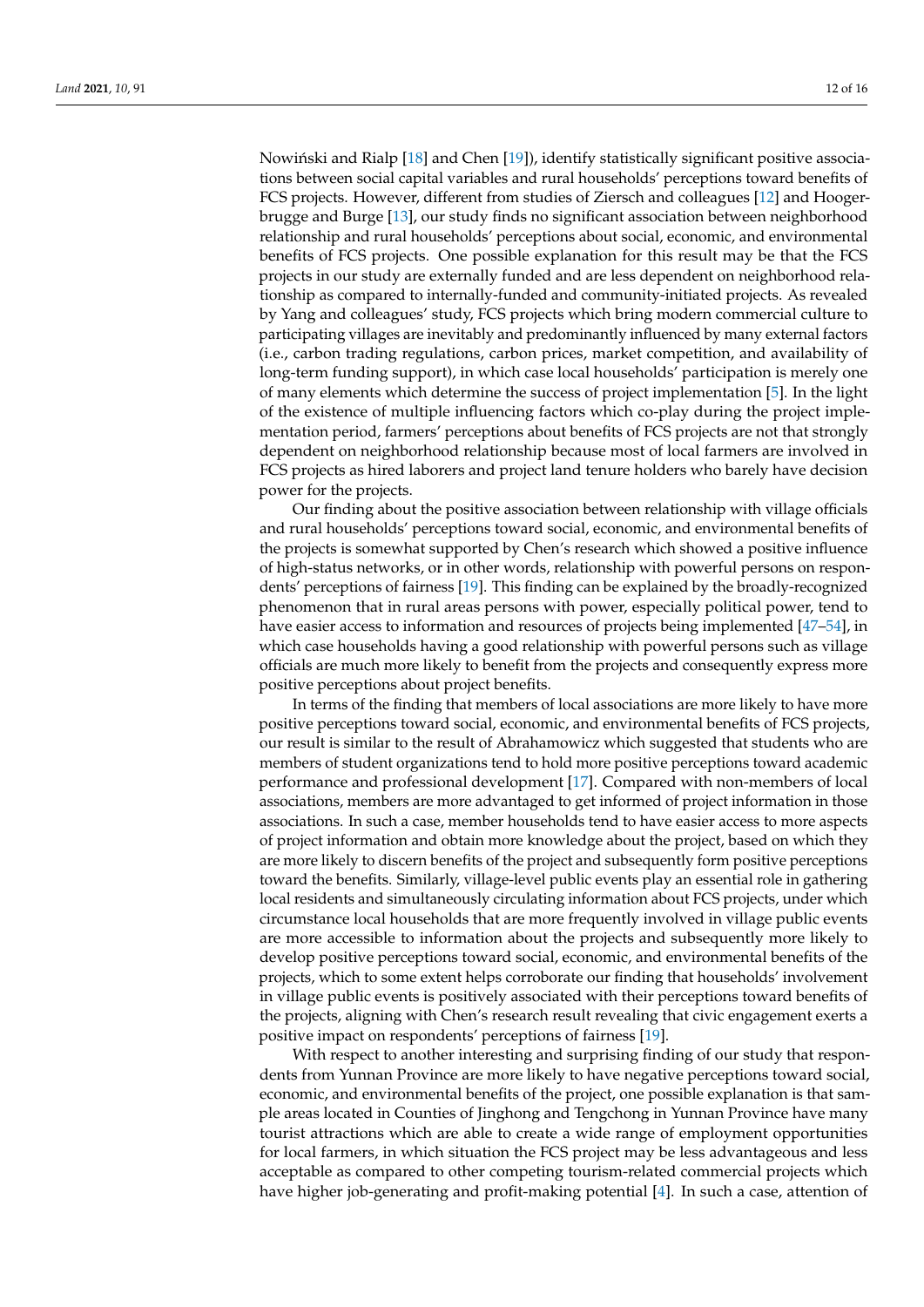Nowiński and Rialp [\[18\]](#page-14-10) and Chen [\[19\]](#page-14-11)), identify statistically significant positive associations between social capital variables and rural households' perceptions toward benefits of FCS projects. However, different from studies of Ziersch and colleagues [\[12\]](#page-14-4) and Hoogerbrugge and Burge [\[13\]](#page-14-5), our study finds no significant association between neighborhood relationship and rural households' perceptions about social, economic, and environmental benefits of FCS projects. One possible explanation for this result may be that the FCS projects in our study are externally funded and are less dependent on neighborhood relationship as compared to internally-funded and community-initiated projects. As revealed by Yang and colleagues' study, FCS projects which bring modern commercial culture to participating villages are inevitably and predominantly influenced by many external factors (i.e., carbon trading regulations, carbon prices, market competition, and availability of long-term funding support), in which case local households' participation is merely one of many elements which determine the success of project implementation [\[5\]](#page-13-3). In the light of the existence of multiple influencing factors which co-play during the project implementation period, farmers' perceptions about benefits of FCS projects are not that strongly dependent on neighborhood relationship because most of local farmers are involved in FCS projects as hired laborers and project land tenure holders who barely have decision power for the projects.

Our finding about the positive association between relationship with village officials and rural households' perceptions toward social, economic, and environmental benefits of the projects is somewhat supported by Chen's research which showed a positive influence of high-status networks, or in other words, relationship with powerful persons on respondents' perceptions of fairness [\[19\]](#page-14-11). This finding can be explained by the broadly-recognized phenomenon that in rural areas persons with power, especially political power, tend to have easier access to information and resources of projects being implemented [\[47](#page-15-9)[–54\]](#page-15-10), in which case households having a good relationship with powerful persons such as village officials are much more likely to benefit from the projects and consequently express more positive perceptions about project benefits.

In terms of the finding that members of local associations are more likely to have more positive perceptions toward social, economic, and environmental benefits of FCS projects, our result is similar to the result of Abrahamowicz which suggested that students who are members of student organizations tend to hold more positive perceptions toward academic performance and professional development [\[17\]](#page-14-9). Compared with non-members of local associations, members are more advantaged to get informed of project information in those associations. In such a case, member households tend to have easier access to more aspects of project information and obtain more knowledge about the project, based on which they are more likely to discern benefits of the project and subsequently form positive perceptions toward the benefits. Similarly, village-level public events play an essential role in gathering local residents and simultaneously circulating information about FCS projects, under which circumstance local households that are more frequently involved in village public events are more accessible to information about the projects and subsequently more likely to develop positive perceptions toward social, economic, and environmental benefits of the projects, which to some extent helps corroborate our finding that households' involvement in village public events is positively associated with their perceptions toward benefits of the projects, aligning with Chen's research result revealing that civic engagement exerts a positive impact on respondents' perceptions of fairness [\[19\]](#page-14-11).

With respect to another interesting and surprising finding of our study that respondents from Yunnan Province are more likely to have negative perceptions toward social, economic, and environmental benefits of the project, one possible explanation is that sample areas located in Counties of Jinghong and Tengchong in Yunnan Province have many tourist attractions which are able to create a wide range of employment opportunities for local farmers, in which situation the FCS project may be less advantageous and less acceptable as compared to other competing tourism-related commercial projects which have higher job-generating and profit-making potential [\[4\]](#page-13-6). In such a case, attention of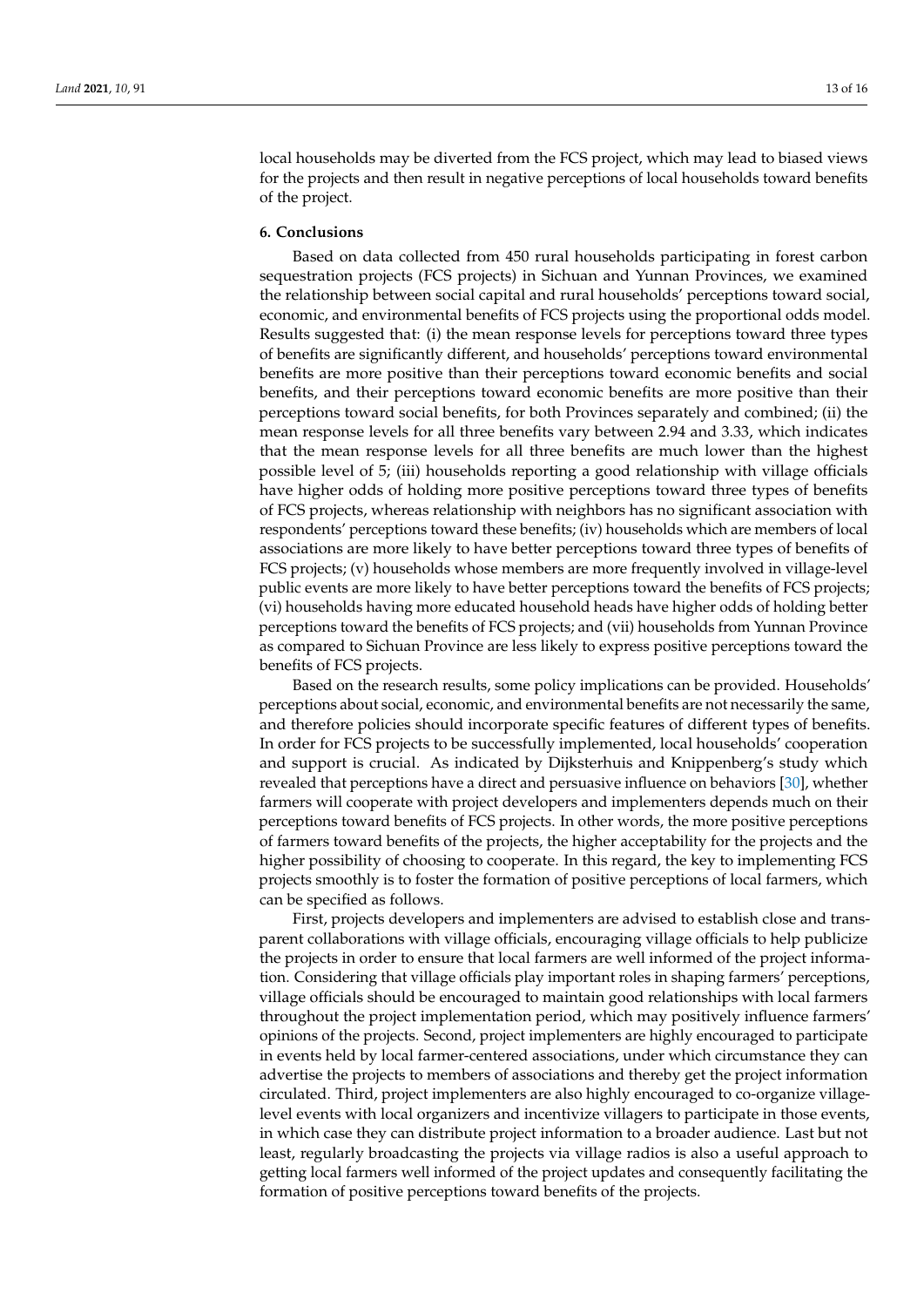local households may be diverted from the FCS project, which may lead to biased views for the projects and then result in negative perceptions of local households toward benefits of the project.

# **6. Conclusions**

Based on data collected from 450 rural households participating in forest carbon sequestration projects (FCS projects) in Sichuan and Yunnan Provinces, we examined the relationship between social capital and rural households' perceptions toward social, economic, and environmental benefits of FCS projects using the proportional odds model. Results suggested that: (i) the mean response levels for perceptions toward three types of benefits are significantly different, and households' perceptions toward environmental benefits are more positive than their perceptions toward economic benefits and social benefits, and their perceptions toward economic benefits are more positive than their perceptions toward social benefits, for both Provinces separately and combined; (ii) the mean response levels for all three benefits vary between 2.94 and 3.33, which indicates that the mean response levels for all three benefits are much lower than the highest possible level of 5; (iii) households reporting a good relationship with village officials have higher odds of holding more positive perceptions toward three types of benefits of FCS projects, whereas relationship with neighbors has no significant association with respondents' perceptions toward these benefits; (iv) households which are members of local associations are more likely to have better perceptions toward three types of benefits of FCS projects; (v) households whose members are more frequently involved in village-level public events are more likely to have better perceptions toward the benefits of FCS projects; (vi) households having more educated household heads have higher odds of holding better perceptions toward the benefits of FCS projects; and (vii) households from Yunnan Province as compared to Sichuan Province are less likely to express positive perceptions toward the benefits of FCS projects.

Based on the research results, some policy implications can be provided. Households' perceptions about social, economic, and environmental benefits are not necessarily the same, and therefore policies should incorporate specific features of different types of benefits. In order for FCS projects to be successfully implemented, local households' cooperation and support is crucial. As indicated by Dijksterhuis and Knippenberg's study which revealed that perceptions have a direct and persuasive influence on behaviors [\[30\]](#page-14-20), whether farmers will cooperate with project developers and implementers depends much on their perceptions toward benefits of FCS projects. In other words, the more positive perceptions of farmers toward benefits of the projects, the higher acceptability for the projects and the higher possibility of choosing to cooperate. In this regard, the key to implementing FCS projects smoothly is to foster the formation of positive perceptions of local farmers, which can be specified as follows.

First, projects developers and implementers are advised to establish close and transparent collaborations with village officials, encouraging village officials to help publicize the projects in order to ensure that local farmers are well informed of the project information. Considering that village officials play important roles in shaping farmers' perceptions, village officials should be encouraged to maintain good relationships with local farmers throughout the project implementation period, which may positively influence farmers' opinions of the projects. Second, project implementers are highly encouraged to participate in events held by local farmer-centered associations, under which circumstance they can advertise the projects to members of associations and thereby get the project information circulated. Third, project implementers are also highly encouraged to co-organize villagelevel events with local organizers and incentivize villagers to participate in those events, in which case they can distribute project information to a broader audience. Last but not least, regularly broadcasting the projects via village radios is also a useful approach to getting local farmers well informed of the project updates and consequently facilitating the formation of positive perceptions toward benefits of the projects.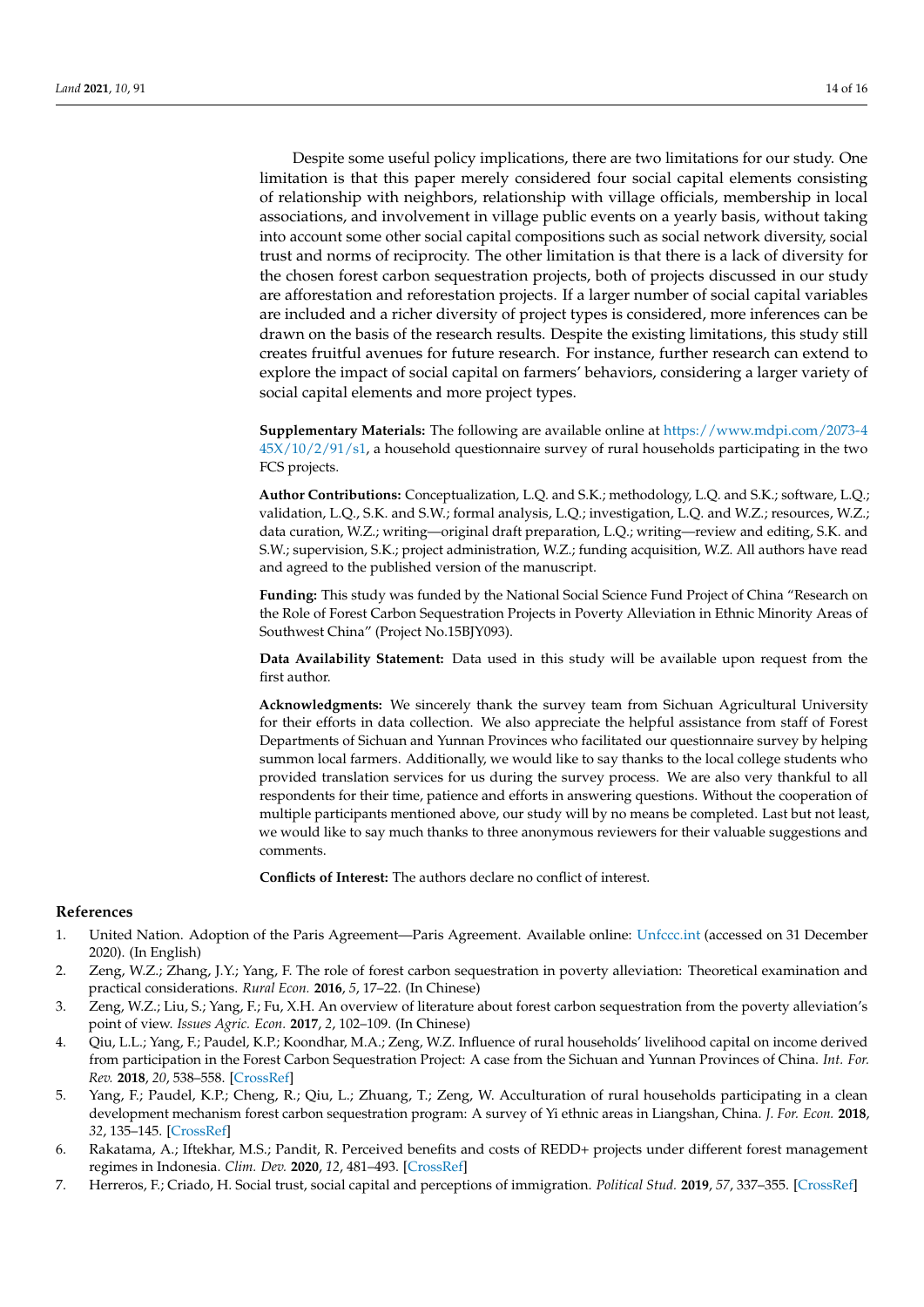Despite some useful policy implications, there are two limitations for our study. One limitation is that this paper merely considered four social capital elements consisting of relationship with neighbors, relationship with village officials, membership in local associations, and involvement in village public events on a yearly basis, without taking into account some other social capital compositions such as social network diversity, social trust and norms of reciprocity. The other limitation is that there is a lack of diversity for the chosen forest carbon sequestration projects, both of projects discussed in our study are afforestation and reforestation projects. If a larger number of social capital variables are included and a richer diversity of project types is considered, more inferences can be drawn on the basis of the research results. Despite the existing limitations, this study still creates fruitful avenues for future research. For instance, further research can extend to explore the impact of social capital on farmers' behaviors, considering a larger variety of social capital elements and more project types.

**Supplementary Materials:** The following are available online at [https://www.mdpi.com/2073-4](https://www.mdpi.com/2073-445X/10/2/91/s1) [45X/10/2/91/s1,](https://www.mdpi.com/2073-445X/10/2/91/s1) a household questionnaire survey of rural households participating in the two FCS projects.

**Author Contributions:** Conceptualization, L.Q. and S.K.; methodology, L.Q. and S.K.; software, L.Q.; validation, L.Q., S.K. and S.W.; formal analysis, L.Q.; investigation, L.Q. and W.Z.; resources, W.Z.; data curation, W.Z.; writing—original draft preparation, L.Q.; writing—review and editing, S.K. and S.W.; supervision, S.K.; project administration, W.Z.; funding acquisition, W.Z. All authors have read and agreed to the published version of the manuscript.

**Funding:** This study was funded by the National Social Science Fund Project of China "Research on the Role of Forest Carbon Sequestration Projects in Poverty Alleviation in Ethnic Minority Areas of Southwest China" (Project No.15BJY093).

**Data Availability Statement:** Data used in this study will be available upon request from the first author.

**Acknowledgments:** We sincerely thank the survey team from Sichuan Agricultural University for their efforts in data collection. We also appreciate the helpful assistance from staff of Forest Departments of Sichuan and Yunnan Provinces who facilitated our questionnaire survey by helping summon local farmers. Additionally, we would like to say thanks to the local college students who provided translation services for us during the survey process. We are also very thankful to all respondents for their time, patience and efforts in answering questions. Without the cooperation of multiple participants mentioned above, our study will by no means be completed. Last but not least, we would like to say much thanks to three anonymous reviewers for their valuable suggestions and comments.

**Conflicts of Interest:** The authors declare no conflict of interest.

#### **References**

- <span id="page-13-0"></span>1. United Nation. Adoption of the Paris Agreement—Paris Agreement. Available online: <Unfccc.int> (accessed on 31 December 2020). (In English)
- <span id="page-13-1"></span>2. Zeng, W.Z.; Zhang, J.Y.; Yang, F. The role of forest carbon sequestration in poverty alleviation: Theoretical examination and practical considerations. *Rural Econ.* **2016**, *5*, 17–22. (In Chinese)
- <span id="page-13-2"></span>3. Zeng, W.Z.; Liu, S.; Yang, F.; Fu, X.H. An overview of literature about forest carbon sequestration from the poverty alleviation's point of view. *Issues Agric. Econ.* **2017**, *2*, 102–109. (In Chinese)
- <span id="page-13-6"></span>4. Qiu, L.L.; Yang, F.; Paudel, K.P.; Koondhar, M.A.; Zeng, W.Z. Influence of rural households' livelihood capital on income derived from participation in the Forest Carbon Sequestration Project: A case from the Sichuan and Yunnan Provinces of China. *Int. For. Rev.* **2018**, *20*, 538–558. [\[CrossRef\]](http://doi.org/10.1505/146554818825240700)
- <span id="page-13-3"></span>5. Yang, F.; Paudel, K.P.; Cheng, R.; Qiu, L.; Zhuang, T.; Zeng, W. Acculturation of rural households participating in a clean development mechanism forest carbon sequestration program: A survey of Yi ethnic areas in Liangshan, China. *J. For. Econ.* **2018**, *32*, 135–145. [\[CrossRef\]](http://doi.org/10.1016/j.jfe.2018.04.006)
- <span id="page-13-4"></span>6. Rakatama, A.; Iftekhar, M.S.; Pandit, R. Perceived benefits and costs of REDD+ projects under different forest management regimes in Indonesia. *Clim. Dev.* **2020**, *12*, 481–493. [\[CrossRef\]](http://doi.org/10.1080/17565529.2019.1642178)
- <span id="page-13-5"></span>7. Herreros, F.; Criado, H. Social trust, social capital and perceptions of immigration. *Political Stud.* **2019**, *57*, 337–355. [\[CrossRef\]](http://doi.org/10.1111/j.1467-9248.2008.00738.x)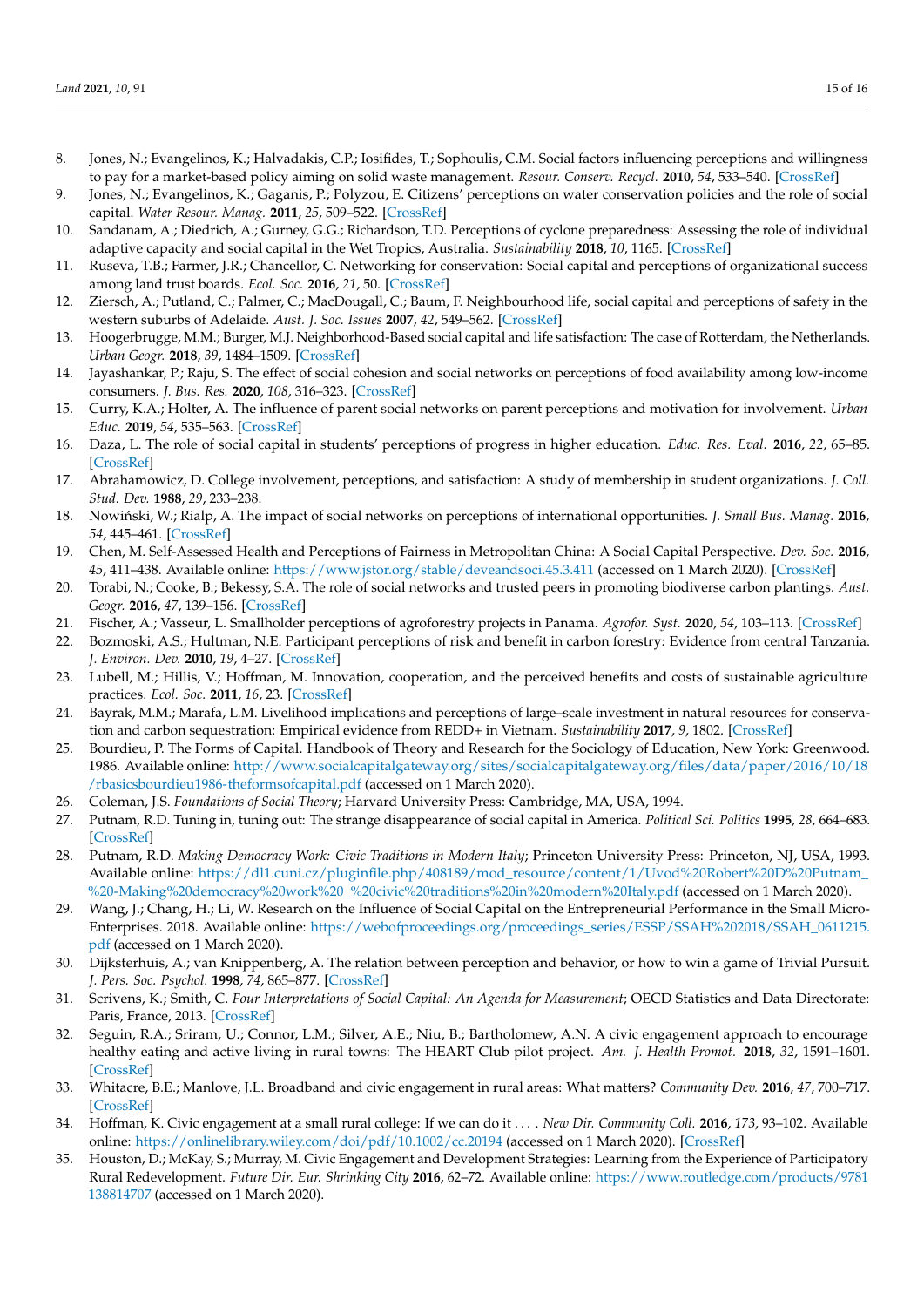- <span id="page-14-0"></span>8. Jones, N.; Evangelinos, K.; Halvadakis, C.P.; Iosifides, T.; Sophoulis, C.M. Social factors influencing perceptions and willingness to pay for a market-based policy aiming on solid waste management. *Resour. Conserv. Recycl.* **2010**, *54*, 533–540. [\[CrossRef\]](http://doi.org/10.1016/j.resconrec.2009.10.010)
- <span id="page-14-1"></span>9. Jones, N.; Evangelinos, K.; Gaganis, P.; Polyzou, E. Citizens' perceptions on water conservation policies and the role of social capital. *Water Resour. Manag.* **2011**, *25*, 509–522. [\[CrossRef\]](http://doi.org/10.1007/s11269-010-9711-z)
- <span id="page-14-2"></span>10. Sandanam, A.; Diedrich, A.; Gurney, G.G.; Richardson, T.D. Perceptions of cyclone preparedness: Assessing the role of individual adaptive capacity and social capital in the Wet Tropics, Australia. *Sustainability* **2018**, *10*, 1165. [\[CrossRef\]](http://doi.org/10.3390/su10041165)
- <span id="page-14-3"></span>11. Ruseva, T.B.; Farmer, J.R.; Chancellor, C. Networking for conservation: Social capital and perceptions of organizational success among land trust boards. *Ecol. Soc.* **2016**, *21*, 50. [\[CrossRef\]](http://doi.org/10.5751/ES-08618-210250)
- <span id="page-14-4"></span>12. Ziersch, A.; Putland, C.; Palmer, C.; MacDougall, C.; Baum, F. Neighbourhood life, social capital and perceptions of safety in the western suburbs of Adelaide. *Aust. J. Soc. Issues* **2007**, *42*, 549–562. [\[CrossRef\]](http://doi.org/10.1002/j.1839-4655.2007.tb00077.x)
- <span id="page-14-5"></span>13. Hoogerbrugge, M.M.; Burger, M.J. Neighborhood-Based social capital and life satisfaction: The case of Rotterdam, the Netherlands. *Urban Geogr.* **2018**, *39*, 1484–1509. [\[CrossRef\]](http://doi.org/10.1080/02723638.2018.1474609)
- <span id="page-14-6"></span>14. Jayashankar, P.; Raju, S. The effect of social cohesion and social networks on perceptions of food availability among low-income consumers. *J. Bus. Res.* **2020**, *108*, 316–323. [\[CrossRef\]](http://doi.org/10.1016/j.jbusres.2019.10.028)
- <span id="page-14-7"></span>15. Curry, K.A.; Holter, A. The influence of parent social networks on parent perceptions and motivation for involvement. *Urban Educ.* **2019**, *54*, 535–563. [\[CrossRef\]](http://doi.org/10.1177/0042085915623334)
- <span id="page-14-8"></span>16. Daza, L. The role of social capital in students' perceptions of progress in higher education. *Educ. Res. Eval.* **2016**, *22*, 65–85. [\[CrossRef\]](http://doi.org/10.1080/13803611.2016.1193029)
- <span id="page-14-9"></span>17. Abrahamowicz, D. College involvement, perceptions, and satisfaction: A study of membership in student organizations. *J. Coll. Stud. Dev.* **1988**, *29*, 233–238.
- <span id="page-14-10"></span>18. Nowiński, W.; Rialp, A. The impact of social networks on perceptions of international opportunities. *J. Small Bus. Manag.* 2016, *54*, 445–461. [\[CrossRef\]](http://doi.org/10.1111/jsbm.12149)
- <span id="page-14-11"></span>19. Chen, M. Self-Assessed Health and Perceptions of Fairness in Metropolitan China: A Social Capital Perspective. *Dev. Soc.* **2016**, *45*, 411–438. Available online: <https://www.jstor.org/stable/deveandsoci.45.3.411> (accessed on 1 March 2020). [\[CrossRef\]](http://doi.org/10.21588/dns.2016.45.3.003)
- <span id="page-14-12"></span>20. Torabi, N.; Cooke, B.; Bekessy, S.A. The role of social networks and trusted peers in promoting biodiverse carbon plantings. *Aust. Geogr.* **2016**, *47*, 139–156. [\[CrossRef\]](http://doi.org/10.1080/00049182.2016.1154535)
- <span id="page-14-13"></span>21. Fischer, A.; Vasseur, L. Smallholder perceptions of agroforestry projects in Panama. *Agrofor. Syst.* **2020**, *54*, 103–113. [\[CrossRef\]](http://doi.org/10.1023/A:1015047404867)
- 22. Bozmoski, A.S.; Hultman, N.E. Participant perceptions of risk and benefit in carbon forestry: Evidence from central Tanzania. *J. Environ. Dev.* **2010**, *19*, 4–27. [\[CrossRef\]](http://doi.org/10.1177/1070496509353538)
- 23. Lubell, M.; Hillis, V.; Hoffman, M. Innovation, cooperation, and the perceived benefits and costs of sustainable agriculture practices. *Ecol. Soc.* **2011**, *16*, 23. [\[CrossRef\]](http://doi.org/10.5751/ES-04389-160423)
- <span id="page-14-14"></span>24. Bayrak, M.M.; Marafa, L.M. Livelihood implications and perceptions of large–scale investment in natural resources for conservation and carbon sequestration: Empirical evidence from REDD+ in Vietnam. *Sustainability* **2017**, *9*, 1802. [\[CrossRef\]](http://doi.org/10.3390/su9101802)
- <span id="page-14-15"></span>25. Bourdieu, P. The Forms of Capital. Handbook of Theory and Research for the Sociology of Education, New York: Greenwood. 1986. Available online: [http://www.socialcapitalgateway.org/sites/socialcapitalgateway.org/files/data/paper/2016/10/18](http://www.socialcapitalgateway.org/sites/socialcapitalgateway.org/files/data/paper/2016/10/18/rbasicsbourdieu1986-theformsofcapital.pdf) [/rbasicsbourdieu1986-theformsofcapital.pdf](http://www.socialcapitalgateway.org/sites/socialcapitalgateway.org/files/data/paper/2016/10/18/rbasicsbourdieu1986-theformsofcapital.pdf) (accessed on 1 March 2020).
- <span id="page-14-16"></span>26. Coleman, J.S. *Foundations of Social Theory*; Harvard University Press: Cambridge, MA, USA, 1994.
- <span id="page-14-17"></span>27. Putnam, R.D. Tuning in, tuning out: The strange disappearance of social capital in America. *Political Sci. Politics* **1995**, *28*, 664–683. [\[CrossRef\]](http://doi.org/10.1017/S1049096500058856)
- <span id="page-14-18"></span>28. Putnam, R.D. *Making Democracy Work: Civic Traditions in Modern Italy*; Princeton University Press: Princeton, NJ, USA, 1993. Available online: [https://dl1.cuni.cz/pluginfile.php/408189/mod\\_resource/content/1/Uvod%20Robert%20D%20Putnam\\_](https://dl1.cuni.cz/pluginfile.php/408189/mod_resource/content/1/Uvod%20Robert%20D%20Putnam_%20-Making%20democracy%20work%20_%20civic%20traditions%20in%20modern%20Italy.pdf) [%20-Making%20democracy%20work%20\\_%20civic%20traditions%20in%20modern%20Italy.pdf](https://dl1.cuni.cz/pluginfile.php/408189/mod_resource/content/1/Uvod%20Robert%20D%20Putnam_%20-Making%20democracy%20work%20_%20civic%20traditions%20in%20modern%20Italy.pdf) (accessed on 1 March 2020).
- <span id="page-14-19"></span>29. Wang, J.; Chang, H.; Li, W. Research on the Influence of Social Capital on the Entrepreneurial Performance in the Small Micro-Enterprises. 2018. Available online: [https://webofproceedings.org/proceedings\\_series/ESSP/SSAH%202018/SSAH\\_0611215.](https://webofproceedings.org/proceedings_series/ESSP/SSAH%202018/SSAH_0611215.pdf) [pdf](https://webofproceedings.org/proceedings_series/ESSP/SSAH%202018/SSAH_0611215.pdf) (accessed on 1 March 2020).
- <span id="page-14-20"></span>30. Dijksterhuis, A.; van Knippenberg, A. The relation between perception and behavior, or how to win a game of Trivial Pursuit. *J. Pers. Soc. Psychol.* **1998**, *74*, 865–877. [\[CrossRef\]](http://doi.org/10.1037/0022-3514.74.4.865)
- <span id="page-14-21"></span>31. Scrivens, K.; Smith, C. *Four Interpretations of Social Capital: An Agenda for Measurement*; OECD Statistics and Data Directorate: Paris, France, 2013. [\[CrossRef\]](http://doi.org/10.1787/18152031)
- <span id="page-14-22"></span>32. Seguin, R.A.; Sriram, U.; Connor, L.M.; Silver, A.E.; Niu, B.; Bartholomew, A.N. A civic engagement approach to encourage healthy eating and active living in rural towns: The HEART Club pilot project. *Am. J. Health Promot.* **2018**, *32*, 1591–1601. [\[CrossRef\]](http://doi.org/10.1177/0890117117748122)
- 33. Whitacre, B.E.; Manlove, J.L. Broadband and civic engagement in rural areas: What matters? *Community Dev.* **2016**, *47*, 700–717. [\[CrossRef\]](http://doi.org/10.1080/15575330.2016.1212910)
- 34. Hoffman, K. Civic engagement at a small rural college: If we can do it . . . . *New Dir. Community Coll.* **2016**, *173*, 93–102. Available online: <https://onlinelibrary.wiley.com/doi/pdf/10.1002/cc.20194> (accessed on 1 March 2020). [\[CrossRef\]](http://doi.org/10.1002/cc.20194)
- 35. Houston, D.; McKay, S.; Murray, M. Civic Engagement and Development Strategies: Learning from the Experience of Participatory Rural Redevelopment. *Future Dir. Eur. Shrinking City* **2016**, 62–72. Available online: [https://www.routledge.com/products/9781](https://www.routledge.com/products/9781138814707) [138814707](https://www.routledge.com/products/9781138814707) (accessed on 1 March 2020).